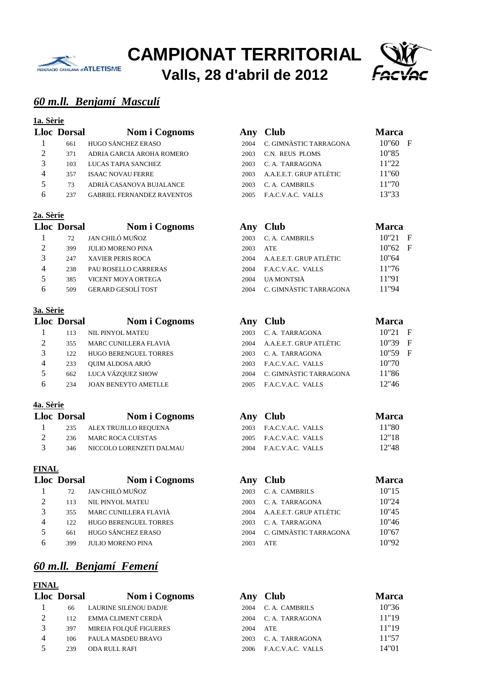



# *60 m.ll. Benjamí Masculí*

#### **1a. Sèrie**

|   | <b>Lloc Dorsal</b> | Nom i Cognoms                     |      | Any Club                | <b>Marc</b> |
|---|--------------------|-----------------------------------|------|-------------------------|-------------|
|   | 661                | HUGO SÁNCHEZ ERASO                | 2004 | C. GIMNÀSTIC TARRAGONA  | 10"60       |
| 2 | 371                | ADRIA GARCIA AROHA ROMERO         | 2003 | C.N. REUS PLOMS         | 10"85       |
|   | 103                | LUCAS TAPIA SANCHEZ               | 2003 | C. A. TARRAGONA         | 11"22       |
| 4 | 357                | <b>ISAAC NOVAU FERRE</b>          | 2003 | A.A.E.E.T. GRUP ATLÈTIC | 11"60       |
|   | 73                 | ADRIÀ CASANOVA BUJALANCE          | 2003 | C. A. CAMBRILS          | 11"70       |
| 6 | 237                | <b>GABRIEL FERNANDEZ RAVENTOS</b> | 2005 | F.A.C.V.A.C. VALLS      | 13"33       |
|   |                    |                                   |      |                         |             |

#### **2a. Sèrie**

|   | <b>Lloc</b> Dorsal | Nom i Cognon              |
|---|--------------------|---------------------------|
| 1 | 72                 | JAN CHILÓ MUÑOZ           |
| 2 | 399                | <b>JULIO MORENO PINA</b>  |
| 3 | 247                | <b>XAVIER PERIS ROCA</b>  |
| 4 | 238                | PAU ROSELLO CARRERAS      |
| 5 | 385                | VICENT MOYA ORTEGA        |
| 6 | 509                | <b>GERARD GESOLÍ TOST</b> |

#### **3a. Sèrie**

|     | Nom i Cognoms                |                                                                                      |                    | Marca                                                                               |
|-----|------------------------------|--------------------------------------------------------------------------------------|--------------------|-------------------------------------------------------------------------------------|
| 113 |                              | 2003                                                                                 | C. A. TARRAGONA    | 10"21                                                                               |
| 355 |                              | 2004                                                                                 |                    | 10"39                                                                               |
| 122 | <b>HUGO BERENGUEL TORRES</b> | 2003                                                                                 | C. A. TARRAGONA    | 10"59                                                                               |
| 233 | OUIM ALDOSA ARJÓ             | 2003                                                                                 |                    | 10"70                                                                               |
| 662 |                              | 2004                                                                                 |                    | 11"86                                                                               |
| 234 | <b>JOAN BENEYTO AMETLLE</b>  | 2005                                                                                 | F.A.C.V.A.C. VALLS | 12"46                                                                               |
|     |                              | <b>Lloc Dorsal</b><br>NIL PINYOL MATEU<br>MARC CUNILLERA FLAVIÀ<br>LUCA VÁZQUEZ SHOW |                    | Any Club<br>A.A.E.E.T. GRUP ATLÈTIC<br>F.A.C.V.A.C. VALLS<br>C. GIMNÀSTIC TARRAGONA |

#### **4a. Sèrie**

|               | <b>Lloc Dorsal</b> | Nom i Cognoms                | Any Club                | <b>Marca</b> |
|---------------|--------------------|------------------------------|-------------------------|--------------|
|               |                    | 235 ALEX TRUJILLO REQUENA    | 2003 F.A.C.V.A.C. VALLS | 11"80        |
|               |                    | 236 MARC ROCA CUESTAS        | 2005 F.A.C.V.A.C. VALLS | 12"18        |
| $\mathcal{R}$ |                    | 346 NICCOLO LORENZETI DALMAU | 2004 F.A.C.V.A.C. VALLS | 12"48        |

#### **FINAL**

|                         | <b>Lloc Dorsal</b> | Nom i Cogno                  |
|-------------------------|--------------------|------------------------------|
| 1                       | 72                 | JAN CHILÓ MUÑOZ              |
| 2                       | 113                | NIL PINYOL MATEU             |
| $\mathcal{R}$           | 355                | MARC CUNILLERA FLAVIÀ        |
|                         | 122.               | <b>HUGO BERENGUEL TORRES</b> |
| $\overline{\mathbf{z}}$ | 661                | <b>HUGO SÁNCHEZ ERASO</b>    |
| 6                       | 399                | <b>JULIO MORENO PINA</b>     |

# *60 m.ll. Benjamí Femení*

|                | <b>Lloc Dorsal</b> | Nom i Cognoms          |      | Any Club           | Marca |
|----------------|--------------------|------------------------|------|--------------------|-------|
|                | 66                 | LAURINE SILENOU DADJE  | 2004 | C. A. CAMBRILS     | 10"36 |
| $\mathcal{D}$  | 112                | EMMA CLIMENT CERDÀ     | 2004 | C. A. TARRAGONA    | 11"19 |
| 3              | 397                | MIREIA FOLOUÉ FIGUERES | 2004 | ATE                | 11"19 |
| $\overline{4}$ | 106                | PAULA MASDEU BRAVO     | 2003 | C. A. TARRAGONA    | 11"57 |
|                | 239                | ODA RULL RAFI          | 2006 | F.A.C.V.A.C. VALLS | 14"01 |

|          | <b>Lloc Dorsal</b> | Nom i Cognoms                     | Any  | <b>Club</b>             | <b>Marca</b> |
|----------|--------------------|-----------------------------------|------|-------------------------|--------------|
|          | 661                | HUGO SÁNCHEZ ERASO                | 2004 | C. GIMNÀSTIC TARRAGONA  | F<br>10"60   |
| $\gamma$ | 371                | ADRIA GARCIA AROHA ROMERO         | 2003 | C.N. REUS PLOMS         | 10"85        |
|          | 103                | LUCAS TAPIA SANCHEZ               | 2003 | C. A. TARRAGONA         | 11"22        |
| 4        | 357                | <b>ISAAC NOVAU FERRE</b>          | 2003 | A.A.E.E.T. GRUP ATLÈTIC | 11"60        |
|          | 73                 | ADRIÀ CASANOVA BUJALANCE          | 2003 | C. A. CAMBRILS          | 11"70        |
| 6        | 237                | <b>GABRIEL FERNANDEZ RAVENTOS</b> | 2005 | F.A.C.V.A.C. VALLS      | 13"33        |

|     | Nom i Cognoms             |                    |                        | <b>Marca</b>                        |                   |
|-----|---------------------------|--------------------|------------------------|-------------------------------------|-------------------|
| 72  | JAN CHILÓ MUÑOZ           | 2003               | C. A. CAMBRILS         | 10"21                               | $\mathbf{F}$      |
| 399 | <b>JULIO MORENO PINA</b>  | 2003               | ATE                    |                                     |                   |
| 247 | <b>XAVIER PERIS ROCA</b>  | 2004               |                        | 10"64                               |                   |
| 238 | PAU ROSELLO CARRERAS      | 2004               | F.A.C.V.A.C. VALLS     | 11"76                               |                   |
| 385 | VICENT MOYA ORTEGA        | 2004               | UA MONTSIÀ             | 11"91                               |                   |
| 509 | <b>GERARD GESOLÍ TOST</b> | 2004               | C. GIMNÀSTIC TARRAGONA | 11"94                               |                   |
|     |                           | <b>Lloc Dorsal</b> |                        | Any Club<br>A.A.E.E.T. GRUP ATLÈTIC | $10"62 \text{ F}$ |

|   | loc Dorsal | Nom i Cognoms               |      | Any Club                | <b>Marca</b>      |  |
|---|------------|-----------------------------|------|-------------------------|-------------------|--|
|   | 113        | <b>NIL PINYOL MATEU</b>     | 2003 | C. A. TARRAGONA         | $10"21 \text{ F}$ |  |
|   | 355        | MARC CUNILLERA FLAVIÀ       | 2004 | A.A.E.E.T. GRUP ATLÈTIC | $10"39$ F         |  |
|   | 122        | HUGO BERENGUEL TORRES       | 2003 | C. A. TARRAGONA         | $10"59$ F         |  |
| 4 | 233        | QUIM ALDOSA ARJÓ            | 2003 | F.A.C.V.A.C. VALLS      | 10"70             |  |
| 5 | 662        | LUCA VÁZQUEZ SHOW           | 2004 | C. GIMNÀSTIC TARRAGONA  | 11"86             |  |
| 6 | 234        | <b>JOAN BENEYTO AMETLLE</b> | 2005 | F.A.C.V.A.C. VALLS      | 12"46             |  |
|   |            |                             |      |                         |                   |  |

| loc Dorsal | Nom i Cognoms                | Any Club                | Marca |
|------------|------------------------------|-------------------------|-------|
|            | 235 ALEX TRUJILLO REQUENA    | 2003 F.A.C.V.A.C. VALLS | 11"80 |
|            | 236 MARC ROCA CUESTAS        | 2005 F.A.C.V.A.C. VALLS | 12"18 |
|            | 346 NICCOLO LORENZETI DALMAU | 2004 F.A.C.V.A.C. VALLS | 12"48 |

|                | <b>Lloc Dorsal</b> | Nom i Cognoms                |      | Any Club                | Marca |
|----------------|--------------------|------------------------------|------|-------------------------|-------|
|                | 72                 | JAN CHILÓ MUÑOZ              | 2003 | C. A. CAMBRILS          | 10"15 |
| $\mathfrak{D}$ | 113                | <b>NIL PINYOL MATEU</b>      | 2003 | C. A. TARRAGONA         | 10"24 |
| 3              | 355                | MARC CUNILLERA FLAVIÀ        | 2004 | A.A.E.E.T. GRUP ATLÈTIC | 10"45 |
| $\overline{4}$ | 122.               | <b>HUGO BERENGUEL TORRES</b> | 2003 | C. A. TARRAGONA         | 10"46 |
| 5              | 661                | HUGO SÁNCHEZ ERASO           | 2004 | C. GIMNÀSTIC TARRAGONA  | 10"67 |
| 6              | 399                | <b>JULIO MORENO PINA</b>     | 2003 | <b>ATE</b>              | 10"92 |
|                |                    |                              |      |                         |       |

|          | Any Club                | <b>Marca</b> |
|----------|-------------------------|--------------|
|          | 2004 C.A. CAMBRILS      | 10"36        |
|          | 2004 C.A. TARRAGONA     | 11"19        |
| 2004 ATE |                         | 11"19        |
|          | 2003 C.A. TARRAGONA     | 11"57        |
|          | 2006 F.A.C.V.A.C. VALLS | 14"01        |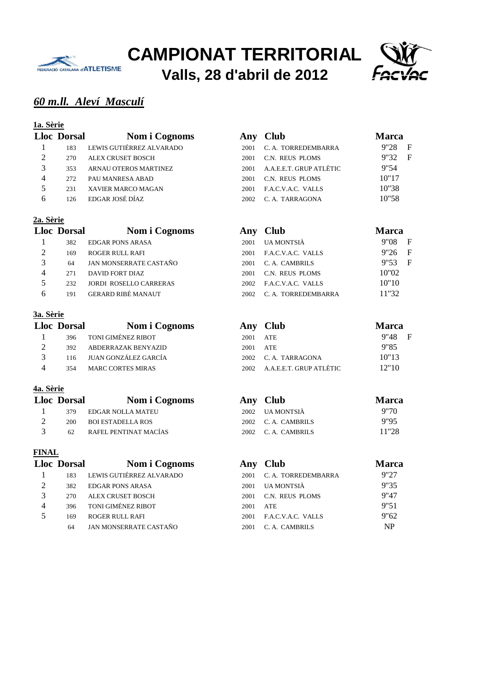



# *60 m.ll. Aleví Masculí*

#### **1a. Sèrie**

|           | <b>Lloc Dorsal</b> | Nom i Cognoms            | Any  | <b>Club</b>             | <b>Marca</b>           |
|-----------|--------------------|--------------------------|------|-------------------------|------------------------|
|           | 183                | LEWIS GUTIÉRREZ ALVARADO | 2001 | C. A. TORREDEMBARRA     | F<br>9"28              |
| 2         | 270                | ALEX CRUSET BOSCH        | 2001 | C.N. REUS PLOMS         | $\overline{F}$<br>9"32 |
| 3         | 353                | ARNAU OTEROS MARTINEZ    | 2001 | A.A.E.E.T. GRUP ATLÈTIC | 9"54                   |
| 4         | 272                | PAU MANRESA ABAD         | 2001 | C.N. REUS PLOMS         | 10"17                  |
| 5         | 231                | XAVIER MARCO MAGAN       | 2001 | F.A.C.V.A.C. VALLS      | 10"38                  |
| 6         | 126                | EDGAR JOSÉ DÍAZ          | 2002 | C. A. TARRAGONA         | 10"58                  |
| 2a. Sèrie | <b>Lloc</b> Dorsal | Nom i Cognoms            | Anv  | <b>Club</b>             | <b>Marca</b>           |
|           |                    |                          |      |                         |                        |

| 382 | EDGAR PONS ARASA          | 2001  | UA MONTSIÀ         | 9"08  | F |
|-----|---------------------------|-------|--------------------|-------|---|
| 169 | ROGER RULL RAFI           | 2001  | F.A.C.V.A.C. VALLS | 9"26  | F |
| 64  | JAN MONSERRATE CASTAÑO    | 2001  | C.A. CAMBRILS      | 9"53  | F |
| 271 | DAVID FORT DIAZ           | 2001  | C.N. REUS PLOMS    | 10"02 |   |
| 232 | JORDI ROSELLO CARRERAS    | 2002. | F.A.C.V.A.C. VALLS | 10"10 |   |
| 191 | <b>GERARD RIBÉ MANAUT</b> | 2002  | C.A. TORREDEMBARRA | 11"32 |   |

#### **3a. Sèrie**

| <b>Lloc Dorsal</b> | Nom i Cognoms            |      | Any Club                | <b>Marca</b> |
|--------------------|--------------------------|------|-------------------------|--------------|
| 396                | TONI GIMÉNEZ RIBOT       | 2001 | ATE                     | $9''48$ F    |
| 392                | ABDERRAZAK BENYAZID      | 2001 | ATE                     | 9"85         |
|                    | 116 JUAN GONZÁLEZ GARCÍA |      | 2002 C.A. TARRAGONA     | 10"13        |
| 354                | <b>MARC CORTES MIRAS</b> | 2002 | A.A.E.E.T. GRUP ATLÈTIC | 12"10        |

#### **4a. Sèrie**

| <b>Lloc Dorsal</b> | Nom i Cognoms         | Any Club           | <b>Marca</b> |
|--------------------|-----------------------|--------------------|--------------|
| 379                | EDGAR NOLLA MATEU     | 2002 UA MONTSIÀ    | 9"70         |
| 200                | BOI ESTADELLA ROS     | 2002 C.A. CAMBRILS | 9"95         |
| 62.                | RAFEL PENTINAT MACÍAS | 2002 C.A. CAMBRILS | 11''28       |

|                | <b>Lloc Dorsal</b> | Nom i Cognoms            |      | Any Club            | Marca     |
|----------------|--------------------|--------------------------|------|---------------------|-----------|
|                | 183                | LEWIS GUTIÉRREZ ALVARADO | 2001 | C. A. TORREDEMBARRA | 9"27      |
|                | 382                | <b>EDGAR PONS ARASA</b>  | 2001 | <b>UA MONTSIÀ</b>   | 9"35      |
|                | 270                | <b>ALEX CRUSET BOSCH</b> | 2001 | C.N. REUS PLOMS     | 9"47      |
| $\overline{4}$ | 396                | TONI GIMÉNEZ RIBOT       | 2001 | <b>ATE</b>          | 9"51      |
| 5              | 169                | <b>ROGER RULL RAFI</b>   | 2001 | F.A.C.V.A.C. VALLS  | 9"62      |
|                | 64                 | JAN MONSERRATE CASTAÑO   | 2001 | C. A. CAMBRILS      | <b>NP</b> |

|      | $2002$ IIA MONTSIÀ           | 9"70         |
|------|------------------------------|--------------|
|      | Any Club                     | <b>Marca</b> |
|      |                              |              |
|      | 2002 A.A.E.E.T. GRUP ATLÈTIC | 12"10        |
| 2002 | C. A. TARRAGONA              | 10"13        |
| 2001 | ATE.                         | 9"85         |

| - 19 | EDGAR NOLLA MATEU     | 2002 UA MONTSIA    | 9 IV  |
|------|-----------------------|--------------------|-------|
| 200  | BOI ESTADELLA ROS     | 2002 C.A. CAMBRILS | 9"95  |
|      | RAFEL PENTINAT MACÍAS | 2002 C.A. CAMBRILS | 11"28 |

|                | loc Dorsal | Nom i Cognoms            |      | Any Club            | <b>Marca</b> |
|----------------|------------|--------------------------|------|---------------------|--------------|
|                | 183        | LEWIS GUTIÉRREZ ALVARADO | 2001 | C. A. TORREDEMBARRA | 9"27         |
| $\overline{2}$ | 382        | <b>EDGAR PONS ARASA</b>  | 2001 | UA MONTSIÀ          | 9"35         |
| 3              | 270        | ALEX CRUSET BOSCH        | 2001 | C.N. REUS PLOMS     | 9"47         |
| 4              | 396        | TONI GIMÉNEZ RIBOT       | 2001 | <b>ATE</b>          | 9"51         |
| 5              | 169        | <b>ROGER RULL RAFI</b>   | 2001 | F.A.C.V.A.C. VALLS  | 9"62         |
|                | 64         | JAN MONSERRATE CASTAÑO   | 2001 | C. A. CAMBRILS      | <b>NP</b>    |
|                |            |                          |      |                     |              |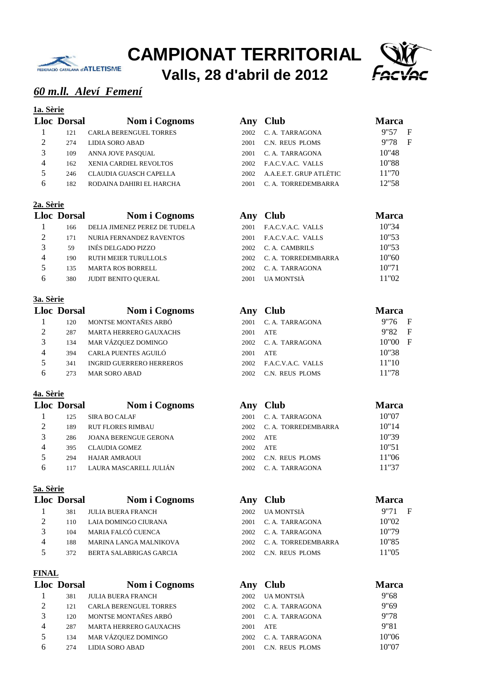



## *60 m.ll. Aleví Femení*

#### **1a. Sèrie**

|                | <b>Lloc</b> Dorsal | Nom i Cognor                  |
|----------------|--------------------|-------------------------------|
| 1              | 121                | <b>CARLA BERENGUEL TORRES</b> |
| $\mathfrak{D}$ | 274                | LIDIA SORO ABAD               |
| 3              | 109                | ANNA JOVE PASOUAL             |
| 4              | 162                | <b>XENIA CARDIEL REVOLTOS</b> |
| 5              | 246                | CLAUDIA GUASCH CAPELLA        |
| 6              | 182                | RODAINA DAHIRI EL HARCHA      |
|                |                    |                               |

#### **2a. Sèrie**

|   | <b>Lloc Dorsal</b> | Nom i Cognoms                 |
|---|--------------------|-------------------------------|
| 1 | 166                | DELIA JIMENEZ PEREZ DE TUDELA |
| 2 | 171                | NURIA FERNANDEZ RAVENTOS      |
| 3 | 59                 | INÉS DELGADO PIZZO            |
|   | 190                | RUTH MEIER TURULLOLS          |
| 5 | 135                | <b>MARTA ROS BORRELL</b>      |
| 6 | 380                | <b>JUDIT BENITO OUERAL</b>    |

#### **3a. Sèrie**

|                | <b>Lloc Dorsal</b> | Nom i Cognoms                   |      | Any Club           | Marca |
|----------------|--------------------|---------------------------------|------|--------------------|-------|
|                | 120                | MONTSE MONTAÑES ARBÓ            | 2001 | C. A. TARRAGONA    | 9"76  |
| 2              | 287                | <b>MARTA HERRERO GAUXACHS</b>   | 2001 | <b>ATE</b>         | 9"82  |
| 3              | 134                | MAR VÁZQUEZ DOMINGO             | 2002 | C. A. TARRAGONA    | 10"00 |
| $\overline{4}$ | 394                | CARLA PUENTES AGUILÓ            | 2001 | ATE                | 10"38 |
| 5              | 341                | <b>INGRID GUERRERO HERREROS</b> | 2002 | F.A.C.V.A.C. VALLS | 11"10 |
| 6              | 273                | <b>MAR SORO ABAD</b>            | 2002 | C.N. REUS PLOMS    | 11"78 |

#### **4a. Sèrie**

|                | <b>Lloc Dorsal</b> | Nom i Cognoms                |      | Any Club            | <b>Marc</b> |
|----------------|--------------------|------------------------------|------|---------------------|-------------|
|                | 125                | <b>SIRA BO CALAF</b>         | 2001 | C. A. TARRAGONA     | 10"07       |
| 2              | 189                | <b>RUT FLORES RIMBAU</b>     | 2002 | C. A. TORREDEMBARRA | 10"14       |
| 3              | 286                | <b>JOANA BERENGUE GERONA</b> | 2002 | ATE                 | 10"39       |
| $\overline{4}$ | 395                | <b>CLAUDIA GOMEZ</b>         | 2002 | ATE                 | 10"51       |
| $\sim$         | 294                | HAJAR AMRAOUI                | 2002 | C.N. REUS PLOMS     | 11"06       |
| 6              | 117                | LAURA MASCARELL JULIÁN       | 2002 | C. A. TARRAGONA     | 11"37       |

#### **5a. Sèrie**

|                             | <b>Lloc</b> Dorsal | Nom i Cognom              |
|-----------------------------|--------------------|---------------------------|
| ı                           | 381                | <b>JULIA BUERA FRANCH</b> |
| $\mathcal{D}_{\mathcal{L}}$ | 110                | LAIA DOMINGO CIURANA      |
| 3                           | 104                | MARIA FALCÓ CUENCA        |
| 4                           | 188                | MARINA LANGA MALNIKOVA    |
| 5                           | 372                | BERTA SALABRIGAS GARCIA   |

#### **FINAL**

|                          | <b>Lloc Dorsal</b> | Nom i Cognom                  |
|--------------------------|--------------------|-------------------------------|
| 1                        | 381                | <b>JULIA BUERA FRANCH</b>     |
| $\mathfrak{D}$           | 121                | <b>CARLA BERENGUEL TORRES</b> |
| 3                        | 120                | MONTSE MONTAÑES ARBÓ          |
| 4                        | 287                | <b>MARTA HERRERO GAUXACHS</b> |
| $\overline{\phantom{0}}$ | 134                | MAR VÁZQUEZ DOMINGO           |
|                          | 274                | LIDIA SORO ABAD               |

|               | <b>Lloc Dorsal</b> | Nom i Cognoms                 |      | Any Club                | Marca     |
|---------------|--------------------|-------------------------------|------|-------------------------|-----------|
|               | 121                | <b>CARLA BERENGUEL TORRES</b> | 2002 | C. A. TARRAGONA         | F<br>9"57 |
| $\mathcal{D}$ | 274                | LIDIA SORO ABAD               | 2001 | C.N. REUS PLOMS         | F<br>9"78 |
| 3             | 109                | ANNA JOVE PASOUAL             | 2001 | C. A. TARRAGONA         | 10"48     |
| 4             | 162                | <b>XENIA CARDIEL REVOLTOS</b> | 2002 | F.A.C.V.A.C. VALLS      | 10"88     |
| 5             | 246                | CLAUDIA GUASCH CAPELLA        | 2002 | A.A.E.E.T. GRUP ATLÈTIC | 11"70     |
| 6             | 182                | RODAINA DAHIRI EL HARCHA      | 2001 | C. A. TORREDEMBARRA     | 12"58     |

#### **Lloc Dorsal Nom i Cognoms Any Club Marca** 2001 F.A.C.V.A.C. VALLS 10"34 2001 F.A.C.V.A.C. VALLS 10"53 2002 C. A. CAMBRILS 10"53 2002 C. A. TORREDEMBARRA 10"60 2002 C. A. TARRAGONA 10"71 2001 UA MONTSIÀ 11"02

|                | loc Dorsal | Nom i Cognoms                   | Any  | <b>Club</b>        | <b>Marca</b>          |
|----------------|------------|---------------------------------|------|--------------------|-----------------------|
|                | 120        | MONTSE MONTAÑES ARBÓ            | 2001 | C. A. TARRAGONA    | 9"76<br>$\mathbf{F}$  |
| $\overline{2}$ | 287        | <b>MARTA HERRERO GAUXACHS</b>   | 2001 | <b>ATE</b>         | $\mathbf{F}$<br>9"82  |
| 3              | 134        | MAR VÁZQUEZ DOMINGO             | 2002 | C. A. TARRAGONA    | $\mathbf{F}$<br>10"00 |
| 4              | 394        | CARLA PUENTES AGUILÓ            | 2001 | ATE                | 10"38                 |
| 5              | 341        | <b>INGRID GUERRERO HERREROS</b> | 2002 | F.A.C.V.A.C. VALLS | 11"10                 |
| 6              | 273        | <b>MAR SORO ABAD</b>            | 2002 | C.N. REUS PLOMS    | 11"78                 |

# **Lloc Dorsal Nom i Cognoms Any Club Marca** 2001 C. A. TARRAGONA 10"07 2002 C. A. TORREDEMBARRA 10"14 2002 C.N. REUS PLOMS 11"06 2002 C. A. TARRAGONA 11"37

|                             | <b>Lloc Dorsal</b> | Nom i Cognoms                 |       | Any Club            | <b>Marca</b> |
|-----------------------------|--------------------|-------------------------------|-------|---------------------|--------------|
|                             | 381                | <b>JULIA BUERA FRANCH</b>     | 2002  | UA MONTSIÀ          | F<br>9"71    |
| $\mathcal{D}_{\mathcal{L}}$ | 110                | LAIA DOMINGO CIURANA          | 2001  | C. A. TARRAGONA     | 10"02        |
|                             | 104                | MARIA FALCÓ CUENCA            | 2002. | C. A. TARRAGONA     | 10"79        |
| 4                           | 188                | <b>MARINA LANGA MALNIKOVA</b> | 2002  | C. A. TORREDEMBARRA | 10"85        |
| 5                           | 372                | BERTA SALABRIGAS GARCIA       | 2002  | C.N. REUS PLOMS     | 11"05        |

|                             | <b>Lloc Dorsal</b> | Nom i Cognoms                 | Any  | <b>Club</b>     | <b>Marca</b> |
|-----------------------------|--------------------|-------------------------------|------|-----------------|--------------|
|                             | 381                | <b>JULIA BUERA FRANCH</b>     | 2002 | UA MONTSIÀ      | 9"68         |
| $\mathcal{D}_{\mathcal{L}}$ | 121                | <b>CARLA BERENGUEL TORRES</b> | 2002 | C. A. TARRAGONA | 9"69         |
| 3                           | 120                | MONTSE MONTAÑES ARBÓ          | 2001 | C. A. TARRAGONA | 9"78         |
| 4                           | 287                | <b>MARTA HERRERO GAUXACHS</b> | 2001 | ATE             | 9"81         |
|                             | 134                | MAR VÁZQUEZ DOMINGO           | 2002 | C. A. TARRAGONA | 10"06        |
| 6                           | 274                | LIDIA SORO ABAD               | 2001 | C.N. REUS PLOMS | 10"07        |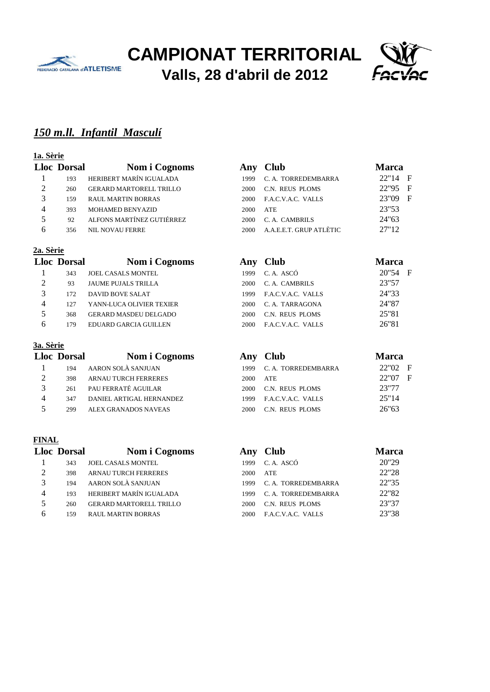



# *150 m.ll. Infantil Masculí*

# **1a. Sèrie**

|                | <b>Lloc Dorsal</b> | Nom i Cognoms                  | A             |
|----------------|--------------------|--------------------------------|---------------|
|                | 193                | HERIBERT MARÍN IGUALADA        |               |
| $\mathfrak{D}$ | 260                | <b>GERARD MARTORELL TRILLO</b> | $\mathcal{D}$ |
| 3              | 159                | <b>RAUL MARTIN BORRAS</b>      | $\mathcal{P}$ |
|                | 393                | <b>MOHAMED BENYAZID</b>        | $\mathcal{P}$ |
| 5              | 92                 | ALFONS MARTÍNEZ GUTIÉRREZ      | $\mathcal{P}$ |
|                | 356                | NIL NOVAU FERRE                | $\mathcal{D}$ |

#### **2a. Sèrie**

|                | <b>Lloc</b> Dorsal | <b>Nom i Cognoms</b>         |
|----------------|--------------------|------------------------------|
| 1              | 343                | JOEL CASALS MONTEL           |
| $\mathfrak{D}$ | 93                 | JAUME PUJALS TRILLA          |
| 3              | 172                | <b>DAVID BOVE SALAT</b>      |
|                | 127                | YANN-LUCA OLIVIER TEXIER     |
| 5              | 368                | <b>GERARD MASDEU DELGADO</b> |
| 6              | 179                | EDUARD GARCIA GUILLEN        |
|                |                    |                              |

#### **3a. Sèrie**

|                             | <b>Lloc</b> Dorsal | Nom i Cognoms               |
|-----------------------------|--------------------|-----------------------------|
| 1                           | 194                | AARON SOLÀ SANJUAN          |
| $\mathcal{D}_{\mathcal{L}}$ | 398                | <b>ARNAU TURCH FERRERES</b> |
| 3                           | 261                | PAU FERRATÉ AGUILAR         |
| 4                           | 347                | DANIEL ARTIGAL HERNANDEZ    |
| 5                           | 299                | ALEX GRANADOS NAVEAS        |

|   | <b>Lloc Dorsal</b> | Nom i Cognoms                  |
|---|--------------------|--------------------------------|
| 1 | 343                | <b>JOEL CASALS MONTEL</b>      |
| 2 | 398                | <b>ARNAU TURCH FERRERES</b>    |
| 3 | 194                | AARON SOLÀ SANJUAN             |
|   | 193                | HERIBERT MARÍN IGUALADA        |
| 5 | 260                | <b>GERARD MARTORELL TRILLO</b> |
| 6 | 159                | RAUL MARTIN BORRAS             |

|                | loc Dorsal | Nom i Cognoms                  |      | Any Club                | <b>Marca</b> |  |
|----------------|------------|--------------------------------|------|-------------------------|--------------|--|
|                | 193        | HERIBERT MARÍN IGUALADA        | 1999 | C. A. TORREDEMBARRA     | 22"14 F      |  |
| $\overline{2}$ | 260        | <b>GERARD MARTORELL TRILLO</b> | 2000 | C.N. REUS PLOMS         | 22"95 F      |  |
| 3              | 159        | <b>RAUL MARTIN BORRAS</b>      | 2000 | F.A.C.V.A.C. VALLS      | 23"09 F      |  |
| 4              | 393        | <b>MOHAMED BENYAZID</b>        | 2000 | ATE                     | 23"53        |  |
| 5              | 92         | ALFONS MARTÍNEZ GUTIÉRREZ      | 2000 | C. A. CAMBRILS          | 24"63        |  |
| 6              | 356        | <b>NIL NOVAU FERRE</b>         | 2000 | A.A.E.E.T. GRUP ATLÈTIC | 27"12        |  |

|                             | <b>Lloc Dorsal</b> | Nom i Cognoms                |      | Any Club           | <b>Marca</b> |
|-----------------------------|--------------------|------------------------------|------|--------------------|--------------|
|                             | 343                | <b>JOEL CASALS MONTEL</b>    | 1999 | C. A. ASCÓ         | 20"54 F      |
| $\mathcal{D}_{\mathcal{L}}$ | 93                 | <b>JAUME PUJALS TRILLA</b>   | 2000 | C. A. CAMBRILS     | 23"57        |
| 3                           | 172                | DAVID BOVE SALAT             | 1999 | F.A.C.V.A.C. VALLS | 24"33        |
| 4                           | 127                | YANN-LUCA OLIVIER TEXIER     | 2000 | C. A. TARRAGONA    | 24"87        |
| 5                           | 368                | <b>GERARD MASDEU DELGADO</b> | 2000 | C.N. REUS PLOMS    | 25"81        |
| 6                           | 179                | EDUARD GARCIA GUILLEN        | 2000 | F.A.C.V.A.C. VALLS | 26"81        |
|                             |                    |                              |      |                    |              |

|               | <b>Lloc Dorsal</b> | Nom i Cognoms               |      | Any Club            | <b>Marca</b>          |
|---------------|--------------------|-----------------------------|------|---------------------|-----------------------|
|               | 194                | AARON SOLÀ SANJUAN          | 1999 | C. A. TORREDEMBARRA | 22"02<br>$\mathbf{F}$ |
| $\mathcal{D}$ | 398                | <b>ARNAU TURCH FERRERES</b> | 2000 | ATE                 | 22"07<br>- F          |
| $\mathbf 3$   | 261                | PAU FERRATÉ AGUILAR         | 2000 | C.N. REUS PLOMS     | 23"77                 |
|               | 347                | DANIEL ARTIGAL HERNANDEZ    | 1999 | F.A.C.V.A.C. VALLS  | 25"14                 |
|               | 299                | ALEX GRANADOS NAVEAS        | 2000 | C.N. REUS PLOMS     | 26"63                 |

|                | <b>Lloc Dorsal</b> | Nom i Cognoms                  | Anv  | <b>Club</b>         | Marca |
|----------------|--------------------|--------------------------------|------|---------------------|-------|
|                | 343                | <b>JOEL CASALS MONTEL</b>      | 1999 | C.A. ASCÓ           | 20"29 |
| 2              | 398                | <b>ARNAU TURCH FERRERES</b>    | 2000 | <b>ATE</b>          | 22"28 |
|                | 194                | AARON SOLÀ SANJUAN             | 1999 | C. A. TORREDEMBARRA | 22"35 |
| $\overline{4}$ | 193                | HERIBERT MARÍN IGUALADA        | 1999 | C. A. TORREDEMBARRA | 22"82 |
| 5              | 260                | <b>GERARD MARTORELL TRILLO</b> | 2000 | C.N. REUS PLOMS     | 23"37 |
| 6              | 159                | <b>RAUL MARTIN BORRAS</b>      | 2000 | F.A.C.V.A.C. VALLS  | 23"38 |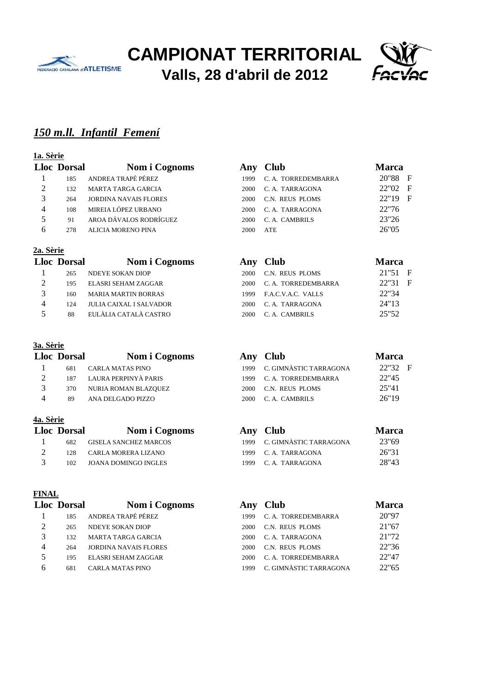



# *150 m.ll. Infantil Femení*

# **1a. Sèrie**

|                | <b>Lloc Dorsal</b> | Nom i Cognoms                | A              |
|----------------|--------------------|------------------------------|----------------|
|                | 185                | ANDREA TRAPÉ PÉREZ           |                |
| $\mathfrak{D}$ | 132.               | MARTA TARGA GARCIA           | $\mathcal{P}$  |
| 3              | 2.64               | <b>JORDINA NAVAIS FLORES</b> | $\overline{c}$ |
|                | 108                | MIREIA LÓPEZ URBANO          | $\mathcal{P}$  |
| 5              | 91                 | AROA DÁVALOS RODRÍGUEZ       | $\mathcal{P}$  |
| 6              | 278                | <b>ALICIA MORENO PINA</b>    | $\mathcal{D}$  |

#### **2a. Sèrie**

|                             | <b>Lloc Dorsal</b> | Nom i Cognon                   |
|-----------------------------|--------------------|--------------------------------|
| 1                           | 265                | <b>NDEYE SOKAN DIOP</b>        |
| $\mathcal{D}_{\mathcal{L}}$ | 195                | ELASRI SEHAM ZAGGAR            |
| 3                           | 160                | <b>MARIA MARTIN BORRAS</b>     |
| 4                           | 124                | <b>JULIA CAIXAL I SALVADOR</b> |
| 5                           | 88                 | EULÀLIA CATALÀ CASTRO          |

#### **3a. Sèrie**

|                | <b>Lloc Dorsal</b> | Nom i Cognoms           |      | Any Club                    | Marca |
|----------------|--------------------|-------------------------|------|-----------------------------|-------|
|                | 681                | <b>CARLA MATAS PINO</b> |      | 1999 C. GIMNÀSTIC TARRAGONA | 22"32 |
|                | 187                | LAURA PERPINYÀ PARIS    |      | 1999 C. A. TORREDEMBARRA    | 22"45 |
|                | 370                | NURIA ROMAN BLAZOUEZ    | 2000 | C.N. REUS PLOMS             | 25"41 |
| $\overline{4}$ | 89                 | ANA DELGADO PIZZO       |      | 2000 C.A. CAMBRILS          | 26"19 |

#### **4a. Sèrie**

| <b>Lloc Dorsal</b> | Nom i Cognoms            | Any Club                    | Marc  |
|--------------------|--------------------------|-----------------------------|-------|
| 682                | GISELA SANCHEZ MARCOS    | 1999 C. GIMNÀSTIC TARRAGONA | 23"69 |
|                    | 128 CARLA MORERA LIZANO  | 1999 C.A. TARRAGONA         | 26"31 |
|                    | 102 IOANA DOMINGO INGLES | 1999 C.A. TARRAGONA         | 28"43 |

#### **FINAL**

|                | <b>Lloc Dorsal</b> | Nom i Cognoms                |
|----------------|--------------------|------------------------------|
|                | 185                | ANDREA TRAPÉ PÉREZ           |
| $\mathfrak{D}$ | 265                | NDEYE SOKAN DIOP             |
| 3              | 132                | <b>MARTA TARGA GARCIA</b>    |
|                | 264                | <b>JORDINA NAVAIS FLORES</b> |
| 5              | 195                | ELASRI SEHAM ZAGGAR          |
| R              | 681                | <b>CARLA MATAS PINO</b>      |

|                | loc Dorsal | Nom i Cognoms                |      | Any Club            | <b>Marca</b> |  |
|----------------|------------|------------------------------|------|---------------------|--------------|--|
|                | 185        | ANDREA TRAPÉ PÉREZ           | 1999 | C. A. TORREDEMBARRA | 20"88 F      |  |
| $\overline{2}$ | 132        | MARTA TARGA GARCIA           | 2000 | C. A. TARRAGONA     | 22"02 F      |  |
| 3              | 264        | <b>JORDINA NAVAIS FLORES</b> | 2000 | C.N. REUS PLOMS     | 22"19 F      |  |
| 4              | 108        | MIREIA LÓPEZ URBANO          | 2000 | C. A. TARRAGONA     | 22"76        |  |
| 5              | 91         | AROA DÁVALOS RODRÍGUEZ       | 2000 | C. A. CAMBRILS      | 23"26        |  |
| 6              | 278        | <b>ALICIA MORENO PINA</b>    | 2000 | <b>ATE</b>          | 26"05        |  |

|                | <b>Lloc Dorsal</b> | Nom i Cognoms                  |      | Any Club            | <b>Marca</b> |
|----------------|--------------------|--------------------------------|------|---------------------|--------------|
|                | 265                | NDEYE SOKAN DIOP               | 2000 | C.N. REUS PLOMS     | 21"51 F      |
| $\overline{2}$ | 195                | ELASRI SEHAM ZAGGAR            | 2000 | C. A. TORREDEMBARRA | 22"31 F      |
| $\mathbf 3$    | 160                | <b>MARIA MARTIN BORRAS</b>     | 1999 | F.A.C.V.A.C. VALLS  | 22"34        |
| 4              | 124                | <b>JULIA CAIXAL I SALVADOR</b> | 2000 | C. A. TARRAGONA     | 24"13        |
|                | 88                 | EULÀLIA CATALÀ CASTRO          | 2000 | C. A. CAMBRILS      | 25"52        |

|   | loc Dorsal | Nom i Cognoms        | Any Club                    | <b>Marca</b> |
|---|------------|----------------------|-----------------------------|--------------|
|   | 681        | CARLA MATAS PINO     | 1999 C. GIMNÀSTIC TARRAGONA | 22"32 F      |
|   | 187        | LAURA PERPINYÀ PARIS | 1999 C. A. TORREDEMBARRA    | 22"45        |
|   | 370        | NURIA ROMAN BLAZQUEZ | 2000 C.N. REUS PLOMS        | 25"41        |
| 4 | 89         | ANA DELGADO PIZZO    | 2000 C.A. CAMBRILS          | 26"19        |
|   |            |                      |                             |              |

# **Lloc Dorsal Nom i Cognoms Any Club Marca**

| 682 | GISELA SANCHEZ MARCOS   | 1999 C. GIMNÀSTIC TARRAGONA | 23"69 |
|-----|-------------------------|-----------------------------|-------|
|     | 128 CARLA MORERA LIZANO | 1999 C.A. TARRAGONA         | 26"31 |
| 102 | JOANA DOMINGO INGLES    | 1999 C.A. TARRAGONA         | 28"43 |

|   | <b>Lloc Dorsal</b> | Nom i Cognoms                | Any  | <b>Club</b>            | Marca |
|---|--------------------|------------------------------|------|------------------------|-------|
|   | 185                | ANDREA TRAPÉ PÉREZ           | 1999 | C. A. TORREDEMBARRA    | 20"97 |
|   | 265                | <b>NDEYE SOKAN DIOP</b>      | 2000 | C.N. REUS PLOMS        | 21"67 |
|   | 132                | <b>MARTA TARGA GARCIA</b>    | 2000 | C. A. TARRAGONA        | 21"72 |
| 4 | 264                | <b>JORDINA NAVAIS FLORES</b> | 2000 | C.N. REUS PLOMS        | 22"36 |
|   | 195                | ELASRI SEHAM ZAGGAR          | 2000 | C. A. TORREDEMBARRA    | 22"47 |
| h | 681                | CARLA MATAS PINO             | 1999 | C. GIMNÀSTIC TARRAGONA | 22"65 |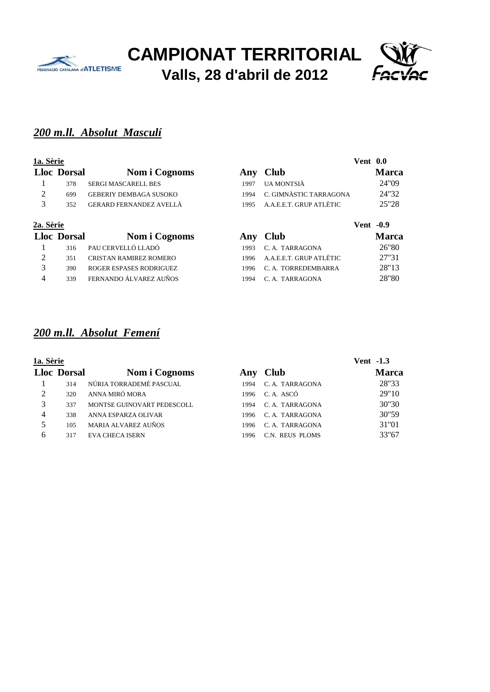



## *200 m.ll. Absolut Masculí*

#### **1a. Sèrie Vent 0.0**

|                       | <b>Lloc</b> Dorsal | Nom i Cognoms                  |
|-----------------------|--------------------|--------------------------------|
| $\blacksquare$        |                    | 378 SERGI MASCARELL BES        |
| $\mathcal{D}_{\cdot}$ | 699                | <b>GEBERIY DEMBAGA SUSOKO</b>  |
| 3                     | 352.               | <b>GERARD FERNANDEZ AVELLÀ</b> |
| 7a Sària              |                    |                                |

|           | 352                | GERARD FERNANDEZ AVELLÀ       |      | 1995 A.A.E.E.T. GRUP ATLÈTIC | 25"28            |
|-----------|--------------------|-------------------------------|------|------------------------------|------------------|
| 2a. Sèrie |                    |                               |      |                              | <b>Vent</b> -0.9 |
|           | <b>Lloc Dorsal</b> | Nom i Cognoms                 |      | Any Club                     | <b>Marca</b>     |
|           | 316                | PAU CERVELLÓ LLADÓ            | 1993 | C. A. TARRAGONA              | 26"80            |
|           | 351                | <b>CRISTAN RAMIREZ ROMERO</b> | 1996 | A.A.E.E.T. GRUP ATLÈTIC      | 27"31            |

**Lloc Dorsal Nom i Cognoms Any Club Marca** 1997 UA MONTSIÀ 24"09 1994 C. GIMNÀSTIC TARRAGONA 24"32

# *200 m.ll. Absolut Femení*

| 1a. Sèrie |                    |                            |      |                 | <b>Vent</b> -1.3 |
|-----------|--------------------|----------------------------|------|-----------------|------------------|
|           | <b>Lloc Dorsal</b> | Nom i Cognoms              | Any  | <b>Club</b>     | <b>Marca</b>     |
|           | 314                | NÚRIA TORRADEMÉ PASCUAL    | 1994 | C. A. TARRAGONA | 28"33            |
| 2         | 320                | ANNA MIRÓ MORA             | 1996 | C.A. ASCÓ       | 29"10            |
| 3         | 337                | MONTSE GUINOVART PEDESCOLL | 1994 | C. A. TARRAGONA | 30"30            |
| 4         | 338                | ANNA ESPARZA OLIVAR        | 1996 | C. A. TARRAGONA | 30"59            |
| 5         | 105                | <b>MARIA ALVAREZ AUÑOS</b> | 1996 | C. A. TARRAGONA | 31"01            |
| 6         | 317                | <b>EVA CHECA ISERN</b>     | 1996 | C.N. REUS PLOMS | 33"67            |

3 390 ROGER ESPASES RODRIGUEZ 1996 C. A. TORREDEMBARRA 28''13 4 339 FERNANDO ÁLVAREZ AUÑOS 1994 C. A. TARRAGONA 28''80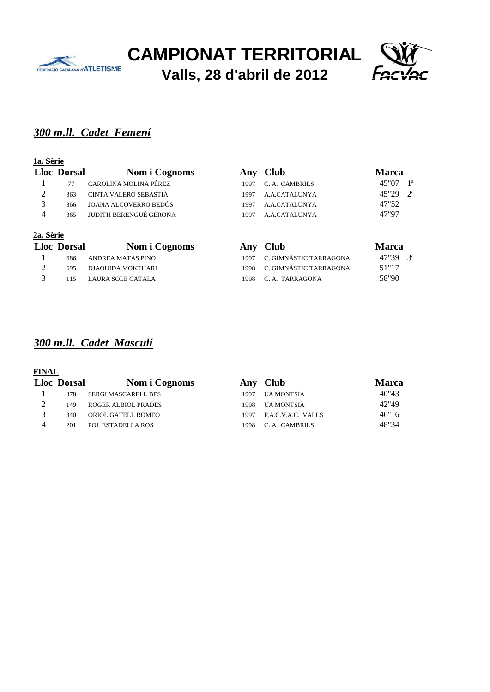



# *300 m.ll. Cadet Femení*

#### **1a. Sèrie**

|               | <b>Lloc</b> Dorsal | Nom i Cognoms          |      | Any Club       | <b>Marca</b>            |
|---------------|--------------------|------------------------|------|----------------|-------------------------|
|               | 77                 | CAROLINA MOLINA PÉREZ  | 1997 | C. A. CAMBRILS | 1 <sup>a</sup><br>45"07 |
| 2             | 363                | CINTA VALERO SEBASTIÀ  | 1997 | A.A.CATALUNYA  | $2^a$<br>45"29          |
| $\mathcal{R}$ | 366                | JOANA ALCOVERRO BEDÓS  | 1997 | A.A.CATALUNYA  | 47"52                   |
|               | 365                | JUDITH BERENGUÉ GERONA | 1997 | A.A.CATALUNYA  | 47"97                   |
|               |                    |                        |      |                |                         |

#### **2a. Sèrie**

| <b>Lloc</b> Dorsal | Nom i Cognoms         | Any Club                    | <b>Marca</b>            |
|--------------------|-----------------------|-----------------------------|-------------------------|
| 686                | ANDREA MATAS PINO     | 1997 C. GIMNÀSTIC TARRAGONA | $47"39 \quad 3^{\circ}$ |
| 695                | DJAOUIDA MOKTHARI     | 1998 C. GIMNÀSTIC TARRAGONA | 51"17                   |
|                    | 115 LAURA SOLE CATALA | 1998 C.A. TARRAGONA         | 58"90                   |

# *300 m.ll. Cadet Masculí*

| <b>Lloc Dorsal</b> | Nom i Cognoms              | Anv  | <b>Club</b>        | <b>Marca</b> |
|--------------------|----------------------------|------|--------------------|--------------|
| 378                | SERGI MASCARELL BES        | 1997 | UA MONTSIÀ         | 40"43        |
| 149                | <b>ROGER ALBIOL PRADES</b> | 1998 | UA MONTSIÀ         | 42"49        |
| 340                | ORIOL GATELL ROMEO         | 1997 | F.A.C.V.A.C. VALLS | 46"16        |
| 201                | POL ESTADELLA ROS          | 1998 | C.A. CAMBRILS      | 48"34        |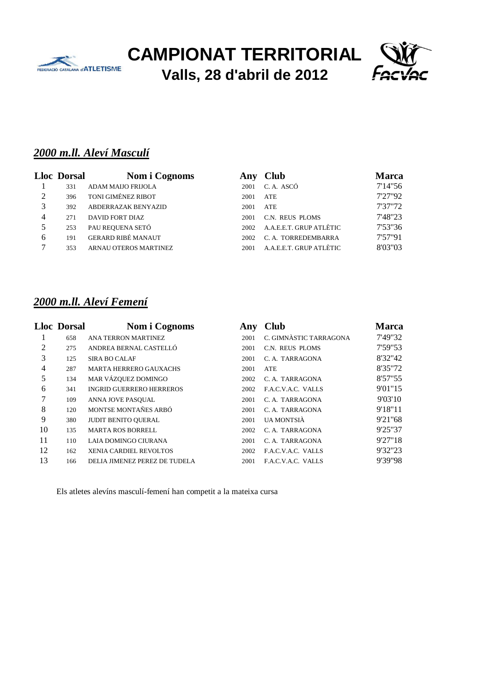



# *2000 m.ll. Aleví Masculí*

|   | <b>Lloc Dorsal</b> | Nom i Cognoms                | Anv  | <b>Club</b>             | Marca   |
|---|--------------------|------------------------------|------|-------------------------|---------|
|   | 331                | ADAM MAIJO FRIJOLA           | 2001 | C.A. ASCÓ               | 7'14"56 |
|   | 396                | TONI GIMÉNEZ RIBOT           | 2001 | <b>ATE</b>              | 7'27"92 |
| 3 | 392                | ABDERRAZAK BENYAZID          | 2001 | <b>ATE</b>              | 7'37"72 |
| 4 | 271                | DAVID FORT DIAZ              | 2001 | C.N. REUS PLOMS         | 7'48"23 |
| 5 | 253                | PAU REQUENA SETÓ             | 2002 | A.A.E.E.T. GRUP ATLÈTIC | 7'53"36 |
| 6 | 191                | <b>GERARD RIBÉ MANAUT</b>    | 2002 | C. A. TORREDEMBARRA     | 7'57"91 |
|   | 353                | <b>ARNAU OTEROS MARTINEZ</b> | 2001 | A.A.E.E.T. GRUP ATLÈTIC | 8'03"03 |

## *2000 m.ll. Aleví Femení*

|    | <b>Lloc Dorsal</b> | Nom i Cognoms                   | Any  | <b>Club</b>            | <b>Marca</b> |
|----|--------------------|---------------------------------|------|------------------------|--------------|
|    | 658                | ANA TERRON MARTINEZ             | 2001 | C. GIMNÀSTIC TARRAGONA | 7'49"32      |
| 2  | 275                | ANDREA BERNAL CASTELLÓ          | 2001 | C.N. REUS PLOMS        | 7'59"53      |
| 3  | 125                | <b>SIRA BO CALAF</b>            | 2001 | C. A. TARRAGONA        | 8'32"42      |
| 4  | 287                | <b>MARTA HERRERO GAUXACHS</b>   | 2001 | <b>ATE</b>             | 8'35"72      |
| 5  | 134                | MAR VÁZQUEZ DOMINGO             | 2002 | C. A. TARRAGONA        | 8'57"55      |
| 6  | 341                | <b>INGRID GUERRERO HERREROS</b> | 2002 | F.A.C.V.A.C. VALLS     | 9'01"15      |
| 7  | 109                | ANNA JOVE PASOUAL               | 2001 | C. A. TARRAGONA        | 9'03'10      |
| 8  | 120                | MONTSE MONTAÑES ARBÓ            | 2001 | C. A. TARRAGONA        | 9'18"11      |
| 9  | 380                | <b>JUDIT BENITO QUERAL</b>      | 2001 | UA MONTSIÀ             | 9'21"68      |
| 10 | 135                | <b>MARTA ROS BORRELL</b>        | 2002 | C. A. TARRAGONA        | 9'25"37      |
| 11 | 110                | LAIA DOMINGO CIURANA            | 2001 | C. A. TARRAGONA        | 9'27"18      |
| 12 | 162                | <b>XENIA CARDIEL REVOLTOS</b>   | 2002 | F.A.C.V.A.C. VALLS     | 9'32"23      |
| 13 | 166                | DELIA JIMENEZ PEREZ DE TUDELA   | 2001 | F.A.C.V.A.C. VALLS     | 9'39"98      |

Els atletes alevíns masculí-femení han competit a la mateixa cursa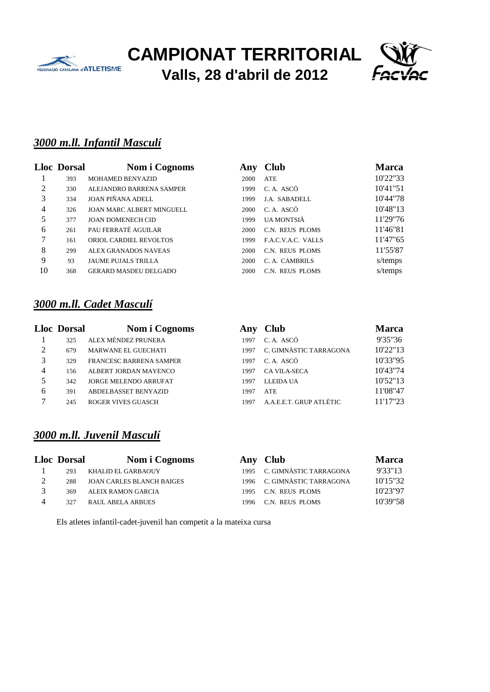



## *3000 m.ll. Infantil Masculí*

|                | <b>Lloc Dorsal</b> | Nom i Cognoms                    | Any  | <b>Club</b>        | <b>Marca</b> |
|----------------|--------------------|----------------------------------|------|--------------------|--------------|
|                | 393                | MOHAMED BENYAZID                 | 2000 | ATE                | 10'22"33     |
| 2              | 330                | ALEJANDRO BARRENA SAMPER         | 1999 | C.A. ASCÓ          | 10'41"51     |
| 3              | 334                | <b>JOAN PIÑANA ADELL</b>         | 1999 | J.A. SABADELL      | 10'44"78     |
| $\overline{4}$ | 326                | <b>JOAN MARC ALBERT MINGUELL</b> | 2000 | C.A. ASCÓ          | 10'48"13     |
| 5              | 377                | <b>JOAN DOMENECH CID</b>         | 1999 | UA MONTSIÀ         | 11'29"76     |
| 6              | 261                | PAU FERRATÉ AGUILAR              | 2000 | C.N. REUS PLOMS    | 11'46"81     |
| 7              | 161                | ORIOL CARDIEL REVOLTOS           | 1999 | F.A.C.V.A.C. VALLS | 11'47"65     |
| 8              | 299                | ALEX GRANADOS NAVEAS             | 2000 | C.N. REUS PLOMS    | 11'55'87     |
| 9              | 93                 | <b>JAUME PUJALS TRILLA</b>       | 2000 | C. A. CAMBRILS     | s/temps      |
| 10             | 368                | <b>GERARD MASDEU DELGADO</b>     | 2000 | C.N. REUS PLOMS    | s/temps      |

## *3000 m.ll. Cadet Masculí*

|   | <b>Lloc Dorsal</b> | Nom i Cognoms                  | Any  | <b>Club</b>             | <b>Marca</b> |
|---|--------------------|--------------------------------|------|-------------------------|--------------|
|   | 325                | ALEX MÉNDEZ PRUNERA            | 1997 | C.A. ASCÓ               | 9'35"36      |
| 2 | 679                | <b>MARWANE EL GUECHATI</b>     | 1997 | C. GIMNÀSTIC TARRAGONA  | 10'22"13     |
| 3 | 329                | <b>FRANCESC BARRENA SAMPER</b> | 1997 | C.A. ASCÓ               | 10'33"95     |
| 4 | 156                | ALBERT JORDAN MAYENCO          | 1997 | CA VILA-SECA            | 10'43"74     |
| 5 | 342                | <b>JORGE MELENDO ARRUFAT</b>   | 1997 | <b>LLEIDA UA</b>        | 10'52"13     |
| 6 | 391                | <b>ABDELBASSET BENYAZID</b>    | 1997 | <b>ATE</b>              | 11'08"47     |
| ⇁ | 245                | <b>ROGER VIVES GUASCH</b>      | 1997 | A.A.E.E.T. GRUP ATLÈTIC | 11'17"23     |
|   |                    |                                |      |                         |              |

## *3000 m.ll. Juvenil Masculí*

| <b>Lloc</b> Dorsal | Nom i Cognoms                    |      | Any Club               | <b>Marca</b> |
|--------------------|----------------------------------|------|------------------------|--------------|
| 293                | KHALID EL GARBAOUY               | 1995 | C. GIMNÀSTIC TARRAGONA | 9'33"13      |
| 288                | <b>JOAN CARLES BLANCH BAIGES</b> | 1996 | C. GIMNÀSTIC TARRAGONA | 10'15"32     |
| 369                | ALEIX RAMON GARCIA               | 1995 | C.N. REUS PLOMS        | 10'23"97     |
| 327                | <b>RAUL ABELA ARBUES</b>         | 1996 | C.N. REUS PLOMS        | 10'39"58     |
|                    |                                  |      |                        |              |

Els atletes infantil-cadet-juvenil han competit a la mateixa cursa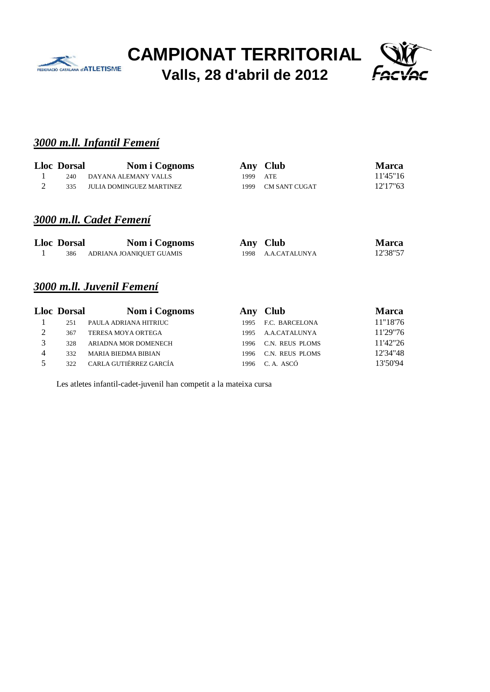



### *3000 m.ll. Infantil Femení*

| <b>Lloc Dorsal</b> | Nom i Cognoms            |          | Any Club           | <b>Marca</b> |
|--------------------|--------------------------|----------|--------------------|--------------|
| 240                | DAYANA ALEMANY VALLS     | 1999 ATE |                    | 11'45"16     |
| 335                | JULIA DOMINGUEZ MARTINEZ |          | 1999 CM SANT CUGAT | 12'17"63     |

## *3000 m.ll. Cadet Femení*

| <b>Lloc Dorsal</b> | Nom i Cognoms            | Any Club           | <b>Marca</b> |
|--------------------|--------------------------|--------------------|--------------|
| 386                | ADRIANA JOANIQUET GUAMIS | 1998 A.A.CATALUNYA | 12'38"57     |

# *3000 m.ll. Juvenil Femení*

|                | <b>Lloc Dorsal</b> | Nom i Cognoms              |      | Any Club            | <b>Marca</b> |
|----------------|--------------------|----------------------------|------|---------------------|--------------|
|                | 251                | PAULA ADRIANA HITRIUC      |      | 1995 F.C. BARCELONA | 11"18'76     |
| 2              | 367                | TERESA MOYA ORTEGA         | 1995 | A.A.CATALUNYA       | 11'29"76     |
| $\mathcal{R}$  | 328                | ARIADNA MOR DOMENECH       | 1996 | C.N. REUS PLOMS     | 11'42"26     |
| $\overline{4}$ | 332                | <b>MARIA BIEDMA BIBIAN</b> | 1996 | C.N. REUS PLOMS     | 12'34"48     |
| 5              | 322                | CARLA GUTIÉRREZ GARCÍA     | 1996 | C.A. ASCÓ           | 13'50'94     |

Les atletes infantil-cadet-juvenil han competit a la mateixa cursa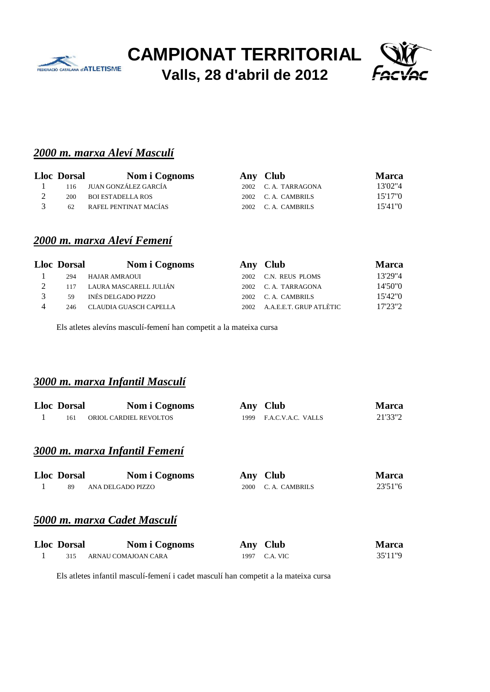



## *2000 m. marxa Aleví Masculí*

| <b>Lloc</b> Dorsal | Nom i Cognoms            | Any Club            | <b>Marca</b> |
|--------------------|--------------------------|---------------------|--------------|
|                    | 116 JUAN GONZÁLEZ GARCÍA | 2002 C.A. TARRAGONA | 13'02"4      |
| 200                | BOI ESTADELLA ROS        | 2002 C.A. CAMBRILS  | 15'17"0      |
| 62                 | RAFEL PENTINAT MACÍAS    | 2002 C.A. CAMBRILS  | 15'41"0      |

## *2000 m. marxa Aleví Femení*

|               | <b>Lloc Dorsal</b> | Nom i Cognoms              |      | Any Club                | <b>Marca</b> |
|---------------|--------------------|----------------------------|------|-------------------------|--------------|
|               | 294                | HAJAR AMRAOUI              | 2002 | C.N. REUS PLOMS         | 13'29"4      |
|               |                    | 117 LAURA MASCARELL JULIÁN |      | 2002 C.A. TARRAGONA     | 14'50"0      |
| $\mathcal{R}$ | 59                 | INÉS DELGADO PIZZO         |      | 2002 C.A. CAMBRILS      | 15'42"0      |
|               | 246                | CLAUDIA GUASCH CAPELLA     | 2002 | A.A.E.E.T. GRUP ATLÈTIC | 17'23"2      |

Els atletes alevíns masculí-femení han competit a la mateixa cursa

#### *3000 m. marxa Infantil Masculí*

|    | <b>Lloc Dorsal</b><br>161 | Nom i Cognoms<br>ORIOL CARDIEL REVOLTOS | Any<br>1999 | <b>Club</b><br>F.A.C.V.A.C. VALLS | Marca<br>21'33"2 |
|----|---------------------------|-----------------------------------------|-------------|-----------------------------------|------------------|
| Ι. |                           |                                         |             |                                   |                  |
|    |                           | 3000 m. marxa Infantil Femení           |             |                                   |                  |
|    | <b>Lloc Dorsal</b>        | Nom i Cognoms                           | Any         | <b>Club</b>                       | Marca            |
|    | 89                        | ANA DELGADO PIZZO                       | 2000        | C. A. CAMBRILS                    | 23'51"6          |
|    |                           | 5000 m. marxa Cadet Masculí             |             |                                   |                  |

| <b>Lloc Dorsal</b> | Nom i Cognoms       | Any Club      | <b>Marca</b> |
|--------------------|---------------------|---------------|--------------|
| 315                | ARNAU COMAJOAN CARA | 1997 C.A. VIC | 35'11"9      |

Els atletes infantil masculí-femení i cadet masculí han competit a la mateixa cursa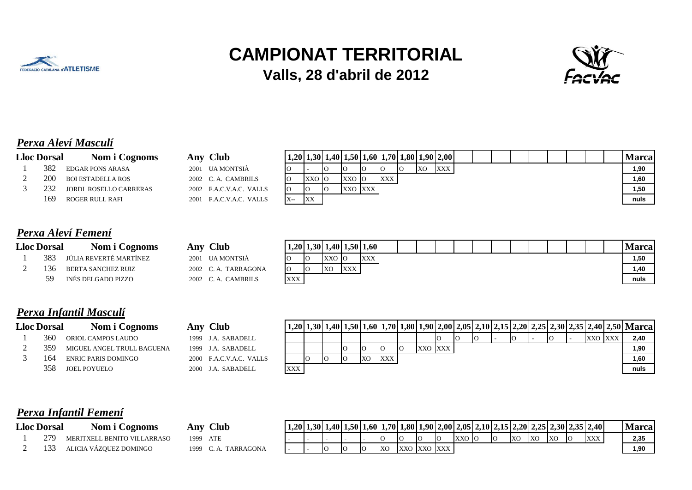



# *Perxa Aleví Masculí*

| <b>Lloc Dorsal</b> | Nom i Cognoms            | Any Club                |       |    |         |    | $1,20$   1,30  1,40  1,50  1,60  1,70  1,80  1,90  2,00 |           |     |  |  |  |  | Marca |
|--------------------|--------------------------|-------------------------|-------|----|---------|----|---------------------------------------------------------|-----------|-----|--|--|--|--|-------|
| 382                | <b>EDGAR PONS ARASA</b>  | 2001 UA MONTSIÀ         |       | 10 |         | IО |                                                         | <b>XO</b> | XXX |  |  |  |  | 1,90  |
| 200                | <b>BOI ESTADELLA ROS</b> | 2002 C.A. CAMBRILS      | XXO O |    | XXO O   |    | XXX                                                     |           |     |  |  |  |  | 1,60  |
| 232                | JORDI ROSELLO CARRERAS   | 2002 F.A.C.V.A.C. VALLS |       | 10 | XXO XXX |    |                                                         |           |     |  |  |  |  | 1,50  |
| 169                | ROGER RULL RAFI          | 2001 F.A.C.V.A.C. VALLS | XX    |    |         |    |                                                         |           |     |  |  |  |  | nuls  |
|                    |                          |                         |       |    |         |    |                                                         |           |     |  |  |  |  |       |

|  |  | Perxa Aleví Femení |  |
|--|--|--------------------|--|
|--|--|--------------------|--|

| <b>Lloc Dorsal</b> | Nom i Cognoms          | Any Club            |            |                |     | $1,20$   $1,30$   $1,40$   $1,50$   $1,60$ |  |  |  |  |  |  | Marca |
|--------------------|------------------------|---------------------|------------|----------------|-----|--------------------------------------------|--|--|--|--|--|--|-------|
| 383                | JÚLIA REVERTÉ MARTÍNEZ | 2001 UA MONTSIÀ     | <b>IO</b>  | XXO O          |     | XXX                                        |  |  |  |  |  |  | 1,50  |
| 136                | BERTA SANCHEZ RUIZ     | 2002 C.A. TARRAGONA | 10         | X <sub>O</sub> | XXX |                                            |  |  |  |  |  |  | 1,40  |
| 59                 | INÉS DELGADO PIZZO     | 2002 C.A. CAMBRILS  | <b>XXX</b> |                |     |                                            |  |  |  |  |  |  | nuls  |
|                    |                        |                     |            |                |     |                                            |  |  |  |  |  |  |       |

# *Perxa Infantil Masculí*

|             | <b>Lloc Dorsal</b> | Nom i Cognoms                  |
|-------------|--------------------|--------------------------------|
|             |                    | 360 ORIOL CAMPOS LAUDO         |
| $2^{\circ}$ |                    | 359 MIGUEL ANGEL TRULL BAGUENA |
| 3           |                    | 164 ENRIC PARIS DOMINGO        |
|             |                    | 358 JOEL POYUELO               |
|             |                    |                                |

| <b>Lloc Dorsal</b> | Nom i Cognoms              | <b>Club</b><br>Any      |     |  |           |     |    |         |    |  |  |    |         | $1,20$   $1,30$   $1,40$   $1,50$   $1,60$   $1,70$   $1,80$   $1,90$   $2,00$   $2,05$   $2,10$   $2,15$   $2,20$   $2,25$   $2,30$   $2,35$   $2,40$   $2,50$   Marca |
|--------------------|----------------------------|-------------------------|-----|--|-----------|-----|----|---------|----|--|--|----|---------|-------------------------------------------------------------------------------------------------------------------------------------------------------------------------|
| 360                | ORIOL CAMPOS LAUDO         | J.A. SABADELL<br>1999   |     |  |           |     |    |         | 10 |  |  | IО | XXO XXX | 2,40                                                                                                                                                                    |
| 359                | MIGUEL ANGEL TRULL BAGUENA | J.A. SABADELL<br>1999   |     |  | IО        |     | IО | XXO XXX |    |  |  |    |         | 1,90                                                                                                                                                                    |
| 164                | <b>ENRIC PARIS DOMINGO</b> | 2000 F.A.C.V.A.C. VALLS |     |  | <b>XC</b> | XXX |    |         |    |  |  |    |         | 1,60                                                                                                                                                                    |
| 358                | <b>JOEL POYUELO</b>        | ) J.A. SABADELL<br>2000 | XXX |  |           |     |    |         |    |  |  |    |         | nuls                                                                                                                                                                    |

# *Perxa Infantil Femení*

| <b>Lloc Dorsal</b> | Nom<br><b>Cognoms</b>                   | <b>Club</b><br>Anv | $1,20$ |    | $1,30$ 1,40 1,50 1,60 $1$ |           |             |    |     | $\vert 1,70 \vert 1,80 \vert 1,90 \vert 2,00 \vert 2,05 \vert 2,10 \vert 2,15 \vert 2,20 \vert 2,25 \vert 2,30 \vert 2,35 \vert 2,40 \vert$ |            |            |            |    |            | Vlarca |
|--------------------|-----------------------------------------|--------------------|--------|----|---------------------------|-----------|-------------|----|-----|---------------------------------------------------------------------------------------------------------------------------------------------|------------|------------|------------|----|------------|--------|
| 279                | L BENITO VILLARRASO<br><b>MERITXELL</b> | ATE<br>1999        |        |    |                           |           | Ю           | IО | XXO |                                                                                                                                             | <b>IXC</b> | <b>IXO</b> | <b>IXO</b> | IО | <b>XXX</b> | 2,35   |
|                    | . VÁZOUEZ DOMINGO                       | TARRAGONA<br>1999  |        | IС |                           | <b>XO</b> | XXO XXO XXX |    |     |                                                                                                                                             |            |            |            |    |            | 1.90   |

| lub | $\boxed{1,20}$ 1,30 1,40 1,50 1,60 1,70 1,80 1,9 |  |  |  |  |
|-----|--------------------------------------------------|--|--|--|--|
|     |                                                  |  |  |  |  |
|     |                                                  |  |  |  |  |

|  |  |    |               |  |       |  |    |           |    | ,30   1,40   1,50   1,60   1,70   1,80   1,90   2,00   2,05   2,10   2,15   2,20   2,25   2,30   2,35   2,40 | <b>Marcal</b> |
|--|--|----|---------------|--|-------|--|----|-----------|----|--------------------------------------------------------------------------------------------------------------|---------------|
|  |  |    |               |  | XXO O |  | XO | <b>XO</b> | XO | XXX                                                                                                          | 2.35          |
|  |  | XO | XXO IXXO IXXX |  |       |  |    |           |    |                                                                                                              | 1.90          |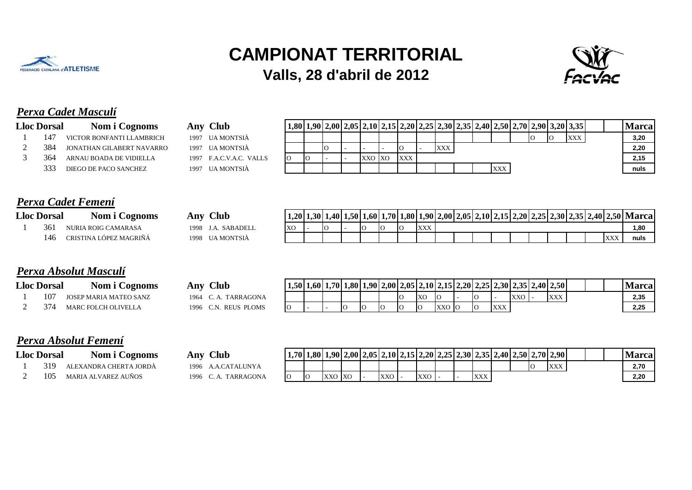



# *Perxa Cadet Masculí*

|     | Nom i Cognoms | A                                                                                                                                        |
|-----|---------------|------------------------------------------------------------------------------------------------------------------------------------------|
|     |               | 10                                                                                                                                       |
|     |               | 1 <sup>1</sup>                                                                                                                           |
| 364 |               | 1 <sup>1</sup>                                                                                                                           |
| 333 |               | 10                                                                                                                                       |
|     |               | <b>Lloc Dorsal</b><br>147 VICTOR BONFANTI LLAMBRICH<br>384 JONATHAN GILABERT NAVARRO<br>ARNAU BOADA DE VIDIELLA<br>DIEGO DE PACO SANCHEZ |

| Any Club               |
|------------------------|
| 1997 UA MONTSIÀ        |
| 1997 UA MONTSIÀ        |
| 1997 F.A.C.V.A.C. VALL |
|                        |

| <b>Lloc Dorsal</b> | Nom i Cognoms             | Anv  | <b>Club</b>             |    |  |        | $1,80$   $1,90$   $2,00$   $2,05$   $2,10$   $2,15$   $2,20$   $2,25$   $2,30$   $2,35$   $2,40$   $2,50$   $2,70$   $2,90$   $3,20$   $3,35$ |            |  |     |  |     |     |  | Vlarca |
|--------------------|---------------------------|------|-------------------------|----|--|--------|-----------------------------------------------------------------------------------------------------------------------------------------------|------------|--|-----|--|-----|-----|--|--------|
|                    | VICTOR BONFANTI LLAMBRICH |      | 1997 UA MONTSIÀ         |    |  |        |                                                                                                                                               |            |  |     |  | -10 | XXX |  | 3,20   |
| 384                | JONATHAN GILABERT NAVARRO |      | 1997 UA MONTSIA         |    |  |        | IО                                                                                                                                            | <b>XXX</b> |  |     |  |     |     |  | 2,20   |
| 364                | ARNAU BOADA DE VIDIELLA   |      | 1997 F.A.C.V.A.C. VALLS | 10 |  | XXO XO | XXX                                                                                                                                           |            |  |     |  |     |     |  | 2.15   |
| 333                | DIEGO DE PACO SANCHEZ     | 1997 | UA MONTSIÀ              |    |  |        |                                                                                                                                               |            |  | XXX |  |     |     |  | nuls   |

### *Perxa Cadet Femení*

| <b>Lloc Dorsal</b> | Nom i Cognoms              | Aı |
|--------------------|----------------------------|----|
|                    | 361 NURIA ROIG CAMARASA    | 19 |
|                    | 146 CRISTINA LÓPEZ MAGRIÑÁ | 19 |

| <b>Lloc Dorsal</b> |     | Nom<br><b>Cognoms</b>        | <b>Club</b><br>Anv                       | 1.20      | 1.3011 | .401 | $1.501^{\circ}$ |  |                 |                                        | 1.60 1.70 1.80 1.90 2.00 2 | $J12.051^{\circ}$ | $-2.1012$ | 2,15 2,20 2,25 |  |  |   | $ 2,30 2,35 2,40 2,50 $ Marca |
|--------------------|-----|------------------------------|------------------------------------------|-----------|--------|------|-----------------|--|-----------------|----------------------------------------|----------------------------|-------------------|-----------|----------------|--|--|---|-------------------------------|
|                    | 36. | NURIA ROIG CAMARASA          | <b>ADEL</b><br><b>SAR</b><br>1998        | <b>XC</b> |        |      |                 |  | $\sim$<br>- 11. | $\mathbf{X}$<br>$\Delta \Delta \Delta$ |                            |                   |           |                |  |  |   | 1.80                          |
|                    | 146 | GRIN<br>OPE7<br>MAG<br>"IN A | $\mu$ MONT <sup>o</sup><br>1998<br>VTSL/ |           |        |      |                 |  |                 |                                        |                            |                   |           |                |  |  | T | nuls                          |

## *Perxa Absolut Masculí*

|               | <b>Lloc Dorsal</b> | Nom i Cognoms              |
|---------------|--------------------|----------------------------|
|               |                    | 107 JOSEP MARIA MATEO SANZ |
| $\mathcal{D}$ |                    | 374 MARC FOLCH OLIVELLA    |

| <b>Lloc Dorsal</b> | Nom<br>Cognoms                | Anv  | <b>Club</b>                 | 1.5011 | $.1.601$ $^{\circ}$ | $1,70$   $1,80$   $1$ | $1.901$ <sup>~</sup> |    |            |            |    |     |            | $\left  2,00 \right  2,05 \left  2,10 \right  2,15 \left  2,20 \right  2,25 \left  2,30 \right  2,35 \left  2,40 \right  2,50$ |  | <b>Marca</b> |
|--------------------|-------------------------------|------|-----------------------------|--------|---------------------|-----------------------|----------------------|----|------------|------------|----|-----|------------|--------------------------------------------------------------------------------------------------------------------------------|--|--------------|
| 10                 | <b>JOSEP MARIA MATEO SANZ</b> | 1964 | TARRAGONA                   |        |                     |                       |                      | IС | <b>IXC</b> |            | IΩ |     | <b>XXO</b> | $\mathbf{X}$<br>$\Lambda\Lambda\Lambda$                                                                                        |  | 2,35         |
|                    | <b>OLIVELL</b><br><b>MARC</b> | 199t | <b>REUS</b><br><b>PLOMS</b> |        |                     |                       | ТC                   | IС |            | <b>XXO</b> | IQ | XXX |            |                                                                                                                                |  | 2,25         |

## *Perxa Absolut Femení*

|             | <b>Lloc Dorsal</b> | Nom i Cognoms                |
|-------------|--------------------|------------------------------|
|             |                    | 1 319 ALEXANDRA CHERTA JORDÀ |
| $2^{\circ}$ |                    | 105 MARIA ALVAREZ AUÑOS      |

|                    | A UIWW IAUDUUUU A UHUUIUU  |      |                  |                       |            |           |         |     |  |            |  |                                                                           |  |        |
|--------------------|----------------------------|------|------------------|-----------------------|------------|-----------|---------|-----|--|------------|--|---------------------------------------------------------------------------|--|--------|
| <b>Lloc Dorsal</b> | Nom i Cognoms              | Anv  | Club             | $1,70$   <sup>1</sup> |            |           |         |     |  |            |  | $(1,80 1,90 2,00 2,05 2,10 2,15 2,20 2,25 2,30 2,35 2,40 2,50 2,70 2,90)$ |  | Vlarca |
| 319                | ALEXANDRA CHERTA JORDA     | 1996 | A.A.CATALUNYA    |                       |            |           |         |     |  |            |  | XXX                                                                       |  | 2,70   |
| 105                | <b>MARIA ALVAREZ AUÑOS</b> | 1996 | <b>TARRAGONA</b> |                       | <b>XXO</b> | <b>XO</b> | $XXO$ . | XXO |  | <b>XXX</b> |  |                                                                           |  | 2.20   |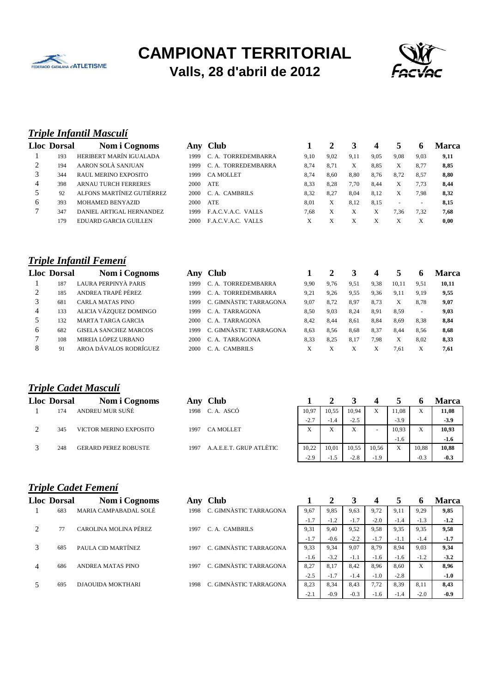



## *Triple Infantil Masculí*

|   | Lloc Dorsal | Nom i Cognoms               | Any   | <b>Club</b>         |      |      |      |      |                |                          | Marca |
|---|-------------|-----------------------------|-------|---------------------|------|------|------|------|----------------|--------------------------|-------|
|   | 193         | HERIBERT MARÍN IGUALADA     | 1999  | C. A. TORREDEMBARRA | 9.10 | 9,02 | 9,11 | 9,05 | 9.08           | 9.03                     | 9,11  |
|   | 194         | AARON SOLÀ SANJUAN          | 1999. | C. A. TORREDEMBARRA | 8.74 | 8.71 | Х    | 8.85 | X              | 8.77                     | 8,85  |
|   | 344         | <b>RAUL MERINO EXPOSITO</b> | 1999  | <b>CA MOLLET</b>    | 8.74 | 8.60 | 8.80 | 8.76 | 8.72           | 8,57                     | 8,80  |
| 4 | 398         | <b>ARNAU TURCH FERRERES</b> | 2000  | <b>ATE</b>          | 8.33 | 8.28 | 7.70 | 8.44 | X              | 7.73                     | 8.44  |
|   | 92          | ALFONS MARTÍNEZ GUTIÉRREZ   | 2000  | C. A. CAMBRILS      | 8.32 | 8.27 | 8.04 | 8.12 | X              | 7,98                     | 8,32  |
| 6 | 393         | <b>MOHAMED BENYAZID</b>     | 2000  | <b>ATE</b>          | 8.01 | Х    | 8.12 | 8.15 | $\overline{a}$ | $\overline{\phantom{0}}$ | 8,15  |
| - | 347         | DANIEL ARTIGAL HERNANDEZ    | 1999  | F.A.C.V.A.C. VALLS  | 7.68 | X    | X    | X    | 7.36           | 7.32                     | 7.68  |
|   | 179         | EDUARD GARCIA GUILLEN       | 2000- | F.A.C.V.A.C. VALLS  | X    | X    | X    | X    | X              | X                        | 0.00  |
|   |             |                             |       |                     |      |      |      |      |                |                          |       |

## *Triple Infantil Femení*

|   | <b>Lloc Dorsal</b> | Nom i Cognoms                | Anv  | <b>Club</b>            |      |      |      |      |       |                          | Marca |
|---|--------------------|------------------------------|------|------------------------|------|------|------|------|-------|--------------------------|-------|
|   | 187                | LAURA PERPINYÀ PARIS         | 1999 | C. A. TORREDEMBARRA    | 9,90 | 9,76 | 9,51 | 9,38 | 10,11 | 9,51                     | 10,11 |
|   | 185                | ANDREA TRAPÉ PÉREZ           | 1999 | C. A. TORREDEMBARRA    | 9,21 | 9,26 | 9,55 | 9,36 | 9,11  | 9,19                     | 9,55  |
|   | 681                | <b>CARLA MATAS PINO</b>      | 1999 | C. GIMNÀSTIC TARRAGONA | 9.07 | 8.72 | 8.97 | 8.73 | X     | 8.78                     | 9,07  |
| 4 | 133                | ALICIA VÁZQUEZ DOMINGO       | 1999 | C. A. TARRAGONA        | 8.50 | 9,03 | 8,24 | 8,91 | 8,59  | $\overline{\phantom{0}}$ | 9,03  |
|   | 132                | <b>MARTA TARGA GARCIA</b>    | 2000 | C. A. TARRAGONA        | 8.42 | 8.44 | 8,61 | 8,84 | 8,69  | 8,38                     | 8,84  |
| 6 | 682                | <b>GISELA SANCHEZ MARCOS</b> | 1999 | C. GIMNÀSTIC TARRAGONA | 8,63 | 8,56 | 8,68 | 8,37 | 8.44  | 8,56                     | 8,68  |
|   | 108                | MIREIA LÓPEZ URBANO          | 2000 | C. A. TARRAGONA        | 8,33 | 8,25 | 8.17 | 7,98 | X     | 8,02                     | 8,33  |
| 8 | 91                 | AROA DÁVALOS RODRÍGUEZ       | 2000 | C. A. CAMBRILS         | X    | X    | X    | ∧    | 7.61  | X                        | 7,61  |
|   |                    |                              |      |                        |      |      |      |      |       |                          |       |

### *Triple Cadet Masculí*

| <b>Lloc Dorsal</b> | Nom i Cognoms               | Any  | <b>Club</b>             |                     |                              |        |        |        |        | <b>Marca</b> |
|--------------------|-----------------------------|------|-------------------------|---------------------|------------------------------|--------|--------|--------|--------|--------------|
| 174                | ANDREU MUR SUÑÉ             | 1998 | C. A. ASCÓ              | 10,97               | 10,55                        | 10,94  | X      | 1,08   | X      | 11,08        |
|                    |                             |      |                         | $-2.7$              | $-1.4$                       | $-2.5$ |        | $-3.9$ |        | $-3.9$       |
| 345                | VICTOR MERINO EXPOSITO      | 1997 | <b>CA MOLLET</b>        | $\overline{v}$<br>л | $\overline{\mathbf{v}}$<br>л | X      | -      | 10,93  | X      | 10,93        |
|                    |                             |      |                         |                     |                              |        |        | $-1.6$ |        | $-1.6$       |
| 248                | <b>GERARD PEREZ ROBUSTE</b> | 1997 | A.A.E.E.T. GRUP ATLÈTIC | 10,22               | 10,01                        | 10,55  | 10,56  | X      | 10,88  | 10,88        |
|                    |                             |      |                         | $-2.9$              | $-1.5$                       | $-2.8$ | $-1.9$ |        | $-0.3$ | $-0.3$       |

*Triple Cadet Femení*

| <b>Lloc Dorsal</b> | Nom i Cognoms            |      | Any Club               |        |        |        |        |        | o      | <b>Marca</b> |
|--------------------|--------------------------|------|------------------------|--------|--------|--------|--------|--------|--------|--------------|
| 683                | MARIA CAMPABADAL SOLÉ    | 1998 | C. GIMNÀSTIC TARRAGONA | 9,67   | 9,85   | 9,63   | 9,72   | 9,11   | 9,29   | 9,85         |
|                    |                          |      |                        | $-1.7$ | $-1.2$ | $-1.7$ | $-2.0$ | $-1.4$ | $-1.3$ | $-1.2$       |
| 77                 | CAROLINA MOLINA PÉREZ    | 1997 | C. A. CAMBRILS         | 9.31   | 9.40   | 9,52   | 9,58   | 9.35   | 9,35   | 9,58         |
|                    |                          |      |                        | $-1.7$ | $-0.6$ | $-2.2$ | $-1.7$ | $-1.1$ | $-1.4$ | $-1.7$       |
| 685                | PAULA CID MARTÍNEZ       | 1997 | C. GIMNÀSTIC TARRAGONA | 9,33   | 9,34   | 9,07   | 8.79   | 8.94   | 9,03   | 9,34         |
|                    |                          |      |                        | $-1.6$ | $-3.2$ | $-1.1$ | $-1.6$ | $-1.6$ | $-1.2$ | $-3.2$       |
| 686                | <b>ANDREA MATAS PINO</b> | 1997 | C. GIMNÀSTIC TARRAGONA | 8.27   | 8.17   | 8.42   | 8.96   | 8.60   | X      | 8,96         |
|                    |                          |      |                        | $-2.5$ | $-1.7$ | $-1.4$ | $-1.0$ | $-2.8$ |        | $-1.0$       |
| 695                | <b>DJAOUIDA MOKTHARI</b> | 1998 | C. GIMNÀSTIC TARRAGONA | 8,23   | 8,34   | 8,43   | 7,72   | 8,39   | 8,11   | 8,43         |
|                    |                          |      |                        |        |        |        |        |        |        |              |

| Marca  | 6      | 5      |        | 3      | 2      |        |
|--------|--------|--------|--------|--------|--------|--------|
| 9,85   | 9,29   | 9,11   | 9,72   | 9,63   | 9,85   | 9,67   |
| $-1.2$ | $-1.3$ | $-1.4$ | $-2.0$ | $-1.7$ | $-1.2$ | $-1.7$ |
| 9,58   | 9,35   | 9,35   | 9,58   | 9,52   | 9,40   | 9,31   |
| $-1.7$ | $-1.4$ | $-1.1$ | $-1.7$ | $-2.2$ | $-0.6$ | $-1.7$ |
| 9,34   | 9,03   | 8,94   | 8,79   | 9,07   | 9,34   | 9,33   |
| $-3.2$ | $-1.2$ | $-1.6$ | $-1.6$ | $-1.1$ | $-3.2$ | $-1.6$ |
| 8,96   | X      | 8,60   | 8,96   | 8,42   | 8,17   | 8,27   |
| $-1.0$ |        | $-2.8$ | $-1.0$ | $-1.4$ | $-1.7$ | $-2.5$ |
| 8,43   | 8,11   | 8,39   | 7,72   | 8,43   | 8,34   | 8,23   |
| $-0.9$ | $-2.0$ | $-1.4$ | $-1.6$ | $-0.3$ | $-0.9$ | $-2.1$ |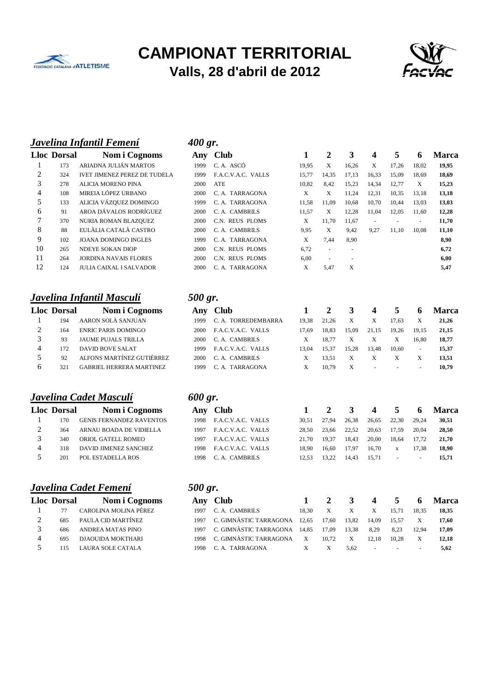



#### *Javelina Infantil Femení 400 gr.*

|                             | <b>Lloc Dorsal</b> | Nom i Cognoms                       |
|-----------------------------|--------------------|-------------------------------------|
| 1                           | 173                | ARIADNA JULIÁN MARTOS               |
| $\mathcal{D}_{\mathcal{L}}$ | 324                | <b>IVET JIMENEZ PEREZ DE TUDELA</b> |
| 3                           | 278                | ALICIA MORENO PINA                  |
| 4                           | 108                | MIREIA LÓPEZ URBANO                 |
| 5                           | 133                | ALICIA VÁZQUEZ DOMINGO              |
| 6                           | 91                 | AROA DÁVALOS RODRÍGUEZ              |
| 7                           | 370                | NURIA ROMAN BLAZQUEZ                |
| 8                           | 88                 | EULÀLIA CATALÀ CASTRO               |
| 9                           | 102                | <b>JOANA DOMINGO INGLES</b>         |
| 10                          | 265                | <b>NDEYE SOKAN DIOP</b>             |
| 11                          | 264                | JORDINA NAVAIS FLORES               |
| 12                          | 124                | JULIA CAIXAL I SALVADOR             |

#### *Javelina Infantil Masculí 500 gr.*

|                             | <b>Lloc Dorsal</b> | Nom i Cognoms                   |
|-----------------------------|--------------------|---------------------------------|
|                             | 194                | AARON SOLÀ SANJUAN              |
| $\mathcal{D}_{\mathcal{L}}$ | 164                | <b>ENRIC PARIS DOMINGO</b>      |
| 3                           | 93                 | <b>JAUME PUJALS TRILLA</b>      |
| 4                           | 172                | <b>DAVID BOVE SALAT</b>         |
| $\varsigma$                 | 92                 | ALFONS MARTÍNEZ GUTIÉRREZ       |
| б                           | 321                | <b>GABRIEL HERRERA MARTINEZ</b> |

#### *Javelina Cadet Masculí 600 gr.*

|                             | <b>Lloc Dorsal</b> | Nom i Cognoms                   |
|-----------------------------|--------------------|---------------------------------|
|                             | 170                | <b>GENIS FERNANDEZ RAVENTOS</b> |
| $\mathcal{D}_{\mathcal{L}}$ | 364                | ARNAU BOADA DE VIDIELLA         |
| 3                           | 340                | ORIOL GATELL ROMEO              |
| 4                           | 318                | DAVID JIMENEZ SANCHEZ           |
| 5                           | 201                | POL ESTADELLA ROS               |

#### *Javelina Cadet Femení* **500 gr.**

|                             | <b>Lloc Dorsal</b> | Nom i Cognoms            |
|-----------------------------|--------------------|--------------------------|
| 1                           | 77                 | CAROLINA MOLINA PÉREZ    |
| $\mathcal{D}_{\mathcal{L}}$ | 685                | PAULA CID MARTÍNEZ       |
| $\mathcal{R}$               | 686                | <b>ANDREA MATAS PINO</b> |
| 4                           | 695                | <b>DJAOUIDA MOKTHARI</b> |
| 5                           | 115                | <b>LAURA SOLE CATALA</b> |

|    | <b>Lloc Dorsal</b> | Nom i Cognoms                       | Any  | <b>Club</b>        |       | 2                        | 3                        | 4                        | 5     | o                        | <b>Marca</b> |
|----|--------------------|-------------------------------------|------|--------------------|-------|--------------------------|--------------------------|--------------------------|-------|--------------------------|--------------|
|    | 173                | ARIADNA JULIÁN MARTOS               | 1999 | C.A. ASCÓ          | 19,95 | X                        | 16,26                    | X                        | 17,26 | 18,02                    | 19,95        |
| 2  | 324                | <b>IVET JIMENEZ PEREZ DE TUDELA</b> | 1999 | F.A.C.V.A.C. VALLS | 15,77 | 14,35                    | 17,13                    | 16,33                    | 15,09 | 18,69                    | 18,69        |
| 3  | 278                | <b>ALICIA MORENO PINA</b>           | 2000 | ATE                | 10,82 | 8,42                     | 15,23                    | 14,34                    | 12,77 | X                        | 15,23        |
| 4  | 108                | MIREIA LÓPEZ URBANO                 | 2000 | C. A. TARRAGONA    | X     | X                        | 11.24                    | 12,31                    | 10,35 | 13,18                    | 13,18        |
| 5  | 133                | ALICIA VÁZQUEZ DOMINGO              | 1999 | C. A. TARRAGONA    | 11,58 | 11.09                    | 10,68                    | 10,70                    | 10.44 | 13,03                    | 13,03        |
| 6  | 91                 | AROA DÁVALOS RODRÍGUEZ              | 2000 | C. A. CAMBRILS     | 11,57 | X                        | 12.28                    | 11.04                    | 12,05 | 11,60                    | 12,28        |
| 7  | 370                | NURIA ROMAN BLAZQUEZ                | 2000 | C.N. REUS PLOMS    | X     | 11.70                    | 11.67                    | $\overline{\phantom{a}}$ |       | $\overline{\phantom{a}}$ | 11,70        |
| 8  | 88                 | EULÀLIA CATALÀ CASTRO               | 2000 | C. A. CAMBRILS     | 9.95  | X                        | 9.42                     | 9,27                     | 11.10 | 10.08                    | 11,10        |
| 9  | 102                | <b>JOANA DOMINGO INGLES</b>         | 1999 | C. A. TARRAGONA    | X     | 7.44                     | 8,90                     |                          |       |                          | 8,90         |
| 10 | 265                | <b>NDEYE SOKAN DIOP</b>             | 2000 | C.N. REUS PLOMS    | 6,72  | $\overline{\phantom{a}}$ | $\overline{\phantom{a}}$ |                          |       |                          | 6,72         |
| 11 | 264                | <b>JORDINA NAVAIS FLORES</b>        | 2000 | C.N. REUS PLOMS    | 6,00  | $\overline{\phantom{a}}$ | $\overline{\phantom{a}}$ |                          |       |                          | 6,00         |
| 12 | 124                | <b>JULIA CAIXAL I SALVADOR</b>      | 2000 | C. A. TARRAGONA    | X     | 5,47                     | X                        |                          |       |                          | 5,47         |

|   | <b>Lloc Dorsal</b> | Nom i Cognoms                   |      | Any Club            |       |       |       | 4      | 5      | <sub>0</sub>             | Marca |
|---|--------------------|---------------------------------|------|---------------------|-------|-------|-------|--------|--------|--------------------------|-------|
|   | 194                | AARON SOLÀ SANJUAN              | 1999 | C. A. TORREDEMBARRA | 19.38 | 21.26 | X     |        | 17.63  |                          | 21.26 |
|   | 164                | <b>ENRIC PARIS DOMINGO</b>      | 2000 | F.A.C.V.A.C. VALLS  | 17.69 | 18.83 | 15.09 | 21.15  | 19.26  | 19.15                    | 21.15 |
|   | 93                 | <b>JAUME PUJALS TRILLA</b>      | 2000 | C. A. CAMBRILS      |       | 18.77 |       |        |        | 16.80                    | 18.77 |
| 4 | 172                | DAVID BOVE SALAT                | 1999 | F.A.C.V.A.C. VALLS  | 13.04 | 15.37 | 15.28 | 13.48  | 10.60  | $\sim$                   | 15.37 |
|   | 92                 | ALFONS MARTÍNEZ GUTIÉRREZ       | 2000 | C. A. CAMBRILS      |       | 13.51 |       |        |        |                          | 13.51 |
|   | 321                | <b>GABRIEL HERRERA MARTINEZ</b> | 1999 | C. A. TARRAGONA     |       | 10.79 | X     | $\sim$ | $\sim$ | $\overline{\phantom{a}}$ | 10.79 |

## **Lloc Dorsal Nom i Cognoms Any Club 1 2 3 4 5 6 Marca** 170 GENIS FERNANDEZ RAVENTOS 1998 F.A.C.V.A.C. VALLS 30,51 27,94 26,38 26,65 22,30 29,24 **30,51** 364 ARNAU BOADA DE VIDIELLA 1997 F.A.C.V.A.C. VALLS 28,50 23,66 22,52 20,63 17,59 20,04 **28,50** 340 ORIOL GATELL ROMEO 1997 F.A.C.V.A.C. VALLS 21,70 19,37 18,43 20,00 18,64 17,72 **21,70** 318 DAVID JIMENEZ SANCHEZ 1998 F.A.C.V.A.C. VALLS 18,90 16,60 17,97 16,70 x 17,38 **18,90** 201 POL ESTADELLA ROS 1998 C. A. CAMBRILS 12,53 13,22 14,43 15,71 - - **15,71**

| <i>500</i> | o |
|------------|---|

| <b>Lloc Dorsal</b> | Nom i Cognoms            |      | Any Club                          |              |       | 3            | $\overline{4}$ | 5 <sub>5</sub>       | $\overline{\mathbf{a}}$  | Marca |
|--------------------|--------------------------|------|-----------------------------------|--------------|-------|--------------|----------------|----------------------|--------------------------|-------|
| 77                 | CAROLINA MOLINA PÉREZ    | 1997 | C. A. CAMBRILS                    | 18.30        | X     | $\mathbf{X}$ | X              | 15.71                | 18.35                    | 18.35 |
| 685                | PAULA CID MARTÍNEZ       |      | 1997 C. GIMNÀSTIC TARRAGONA 12,65 |              | 17.60 | 13.82        | 14.09          | 15.57                |                          | 17.60 |
| 686                | ANDREA MATAS PINO        |      | 1997 C. GIMNÀSTIC TARRAGONA 14.85 |              | 17.09 | 13.38        | 8.29           | 8.23                 | 12.94                    | 17.09 |
| 695                | DJAOUIDA MOKTHARI        |      | 1998 C. GIMNÀSTIC TARRAGONA       | $\mathbf{X}$ | 10.72 | X            | 12.18          | 10.28                |                          | 12.18 |
|                    | <b>LAURA SOLE CATALA</b> | 1998 | C. A. TARRAGONA                   | X            |       | 5.62         | $\sim$         | <b>Service State</b> | $\overline{\phantom{a}}$ | 5.62  |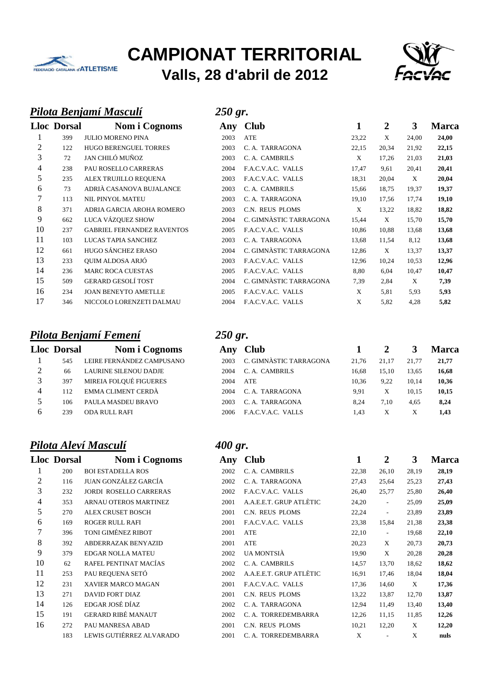



#### *Pilota Benjamí Masculí 250 gr.*

|    | <b>Lloc Dorsal</b> | Nom i Cognoms                     | Anv  | <b>Club</b>            | 1     | 2     | 3     | <b>Marca</b> |
|----|--------------------|-----------------------------------|------|------------------------|-------|-------|-------|--------------|
|    | 399                | <b>JULIO MORENO PINA</b>          | 2003 | <b>ATE</b>             | 23,22 | X     | 24,00 | 24,00        |
| 2  | 122                | <b>HUGO BERENGUEL TORRES</b>      | 2003 | C. A. TARRAGONA        | 22,15 | 20,34 | 21,92 | 22,15        |
| 3  | 72                 | JAN CHILÓ MUÑOZ                   | 2003 | C. A. CAMBRILS         | X     | 17,26 | 21,03 | 21,03        |
| 4  | 238                | PAU ROSELLO CARRERAS              | 2004 | F.A.C.V.A.C. VALLS     | 17,47 | 9,61  | 20,41 | 20,41        |
| 5  | 235                | ALEX TRUJILLO REQUENA             | 2003 | F.A.C.V.A.C. VALLS     | 18,31 | 20,04 | X     | 20,04        |
| 6  | 73                 | ADRIÀ CASANOVA BUJALANCE          | 2003 | C. A. CAMBRILS         | 15,66 | 18,75 | 19,37 | 19,37        |
| 7  | 113                | <b>NIL PINYOL MATEU</b>           | 2003 | C. A. TARRAGONA        | 19,10 | 17,56 | 17,74 | 19,10        |
| 8  | 371                | ADRIA GARCIA AROHA ROMERO         | 2003 | C.N. REUS PLOMS        | X     | 13,22 | 18,82 | 18,82        |
| 9  | 662                | LUCA VÁZQUEZ SHOW                 | 2004 | C. GIMNÀSTIC TARRAGONA | 15,44 | X     | 15,70 | 15,70        |
| 10 | 237                | <b>GABRIEL FERNANDEZ RAVENTOS</b> | 2005 | F.A.C.V.A.C. VALLS     | 10,86 | 10,88 | 13,68 | 13,68        |
| 11 | 103                | LUCAS TAPIA SANCHEZ               | 2003 | C. A. TARRAGONA        | 13,68 | 11,54 | 8,12  | 13,68        |
| 12 | 661                | HUGO SÁNCHEZ ERASO                | 2004 | C. GIMNÀSTIC TARRAGONA | 12,86 | X     | 13,37 | 13,37        |
| 13 | 233                | <b>OUIM ALDOSA ARJÓ</b>           | 2003 | F.A.C.V.A.C. VALLS     | 12,96 | 10,24 | 10,53 | 12,96        |
| 14 | 236                | <b>MARC ROCA CUESTAS</b>          | 2005 | F.A.C.V.A.C. VALLS     | 8,80  | 6,04  | 10,47 | 10,47        |
| 15 | 509                | <b>GERARD GESOLÍ TOST</b>         | 2004 | C. GIMNÀSTIC TARRAGONA | 7,39  | 2,84  | X     | 7,39         |
| 16 | 234                | <b>JOAN BENEYTO AMETLLE</b>       | 2005 | F.A.C.V.A.C. VALLS     | X     | 5,81  | 5,93  | 5,93         |
| 17 | 346                | NICCOLO LORENZETI DALMAU          | 2004 | F.A.C.V.A.C. VALLS     | X     | 5,82  | 4,28  | 5,82         |
|    |                    |                                   |      |                        |       |       |       |              |

# *Pilota Benjamí Femení 250 gr.*

| <b>Lloc Dorsal</b> | <b>Nom i Cognoms</b>      |
|--------------------|---------------------------|
| 545                | LEIRE FERNÁNDEZ CAMPUSANO |
| 66                 | LAURINE SILENOU DADJE     |
| 397                | MIREIA FOLOUÉ FIGUERES    |
| 112                | <b>EMMA CLIMENT CERDÀ</b> |
| 106                | PAULA MASDEU BRAVO        |
| 239                | ODA RULL RAFI             |
|                    |                           |

## *Pilota Aleví Masculí 400 gr.*

|    | <b>Lloc Dorsal</b> | Nom i Cognoms                 |
|----|--------------------|-------------------------------|
| 1  | 200                | <b>BOI ESTADELLA ROS</b>      |
| 2  | 116                | JUAN GONZÁLEZ GARCÍA          |
| 3  | 232                | <b>JORDI ROSELLO CARRERAS</b> |
| 4  | 353                | <b>ARNAU OTEROS MARTINEZ</b>  |
| 5  | 270                | ALEX CRUSET BOSCH             |
| 6  | 169                | ROGER RULL RAFI               |
| 7  | 396                | TONI GIMÉNEZ RIBOT            |
| 8  | 392                | <b>ABDERRAZAK BENYAZID</b>    |
| 9  | 379                | EDGAR NOLLA MATEU             |
| 10 | 62.                | RAFEL PENTINAT MACÍAS         |
| 11 | 253                | PAU REQUENA SETÓ              |
| 12 | 231                | <b>XAVIER MARCO MAGAN</b>     |
| 13 | 271                | <b>DAVID FORT DIAZ</b>        |
| 14 | 126                | EDGAR JOSÉ DÍAZ               |
| 15 | 191                | GERARD RIBÉ MANAUT            |
| 16 | 2.72.              | PAU MANRESA ABAD              |
|    | 183                | LEWIS GUTIÉRREZ ALVARADO      |

|                | $\sim$ 0.100.1 | $1.01111 \times 0.011101110$      | $\overline{1}$ | $\sim$                 |       |       |       | .     |
|----------------|----------------|-----------------------------------|----------------|------------------------|-------|-------|-------|-------|
| 1              | 399            | <b>JULIO MORENO PINA</b>          | 2003           | ATE                    | 23,22 | X     | 24,00 | 24,00 |
| 2              | 122            | <b>HUGO BERENGUEL TORRES</b>      | 2003           | C. A. TARRAGONA        | 22,15 | 20,34 | 21,92 | 22,15 |
| 3              | 72             | JAN CHILÓ MUÑOZ                   | 2003           | C. A. CAMBRILS         | X     | 17,26 | 21,03 | 21,03 |
| $\overline{4}$ | 238            | PAU ROSELLO CARRERAS              | 2004           | F.A.C.V.A.C. VALLS     | 17,47 | 9,61  | 20,41 | 20,41 |
| 5              | 235            | ALEX TRUJILLO REQUENA             | 2003           | F.A.C.V.A.C. VALLS     | 18,31 | 20,04 | X     | 20,04 |
| 6              | 73             | ADRIÀ CASANOVA BUJALANCE          | 2003           | C. A. CAMBRILS         | 15,66 | 18,75 | 19,37 | 19,37 |
| 7              | 113            | <b>NIL PINYOL MATEU</b>           | 2003           | C. A. TARRAGONA        | 19,10 | 17,56 | 17,74 | 19,10 |
| 8              | 371            | ADRIA GARCIA AROHA ROMERO         | 2003           | C.N. REUS PLOMS        | X     | 13,22 | 18,82 | 18,82 |
| 9              | 662            | LUCA VÁZQUEZ SHOW                 | 2004           | C. GIMNÀSTIC TARRAGONA | 15,44 | X     | 15,70 | 15,70 |
| 10             | 237            | <b>GABRIEL FERNANDEZ RAVENTOS</b> | 2005           | F.A.C.V.A.C. VALLS     | 10,86 | 10,88 | 13,68 | 13,68 |
| 11             | 103            | LUCAS TAPIA SANCHEZ               | 2003           | C. A. TARRAGONA        | 13,68 | 11,54 | 8,12  | 13,68 |
| 12             | 661            | <b>HUGO SÁNCHEZ ERASO</b>         | 2004           | C. GIMNÀSTIC TARRAGONA | 12,86 | X     | 13,37 | 13,37 |
| 13             | 233            | OUIM ALDOSA ARJÓ                  | 2003           | F.A.C.V.A.C. VALLS     | 12,96 | 10,24 | 10,53 | 12,96 |
| 14             | 236            | <b>MARC ROCA CUESTAS</b>          | 2005           | F.A.C.V.A.C. VALLS     | 8,80  | 6,04  | 10,47 | 10,47 |
| 15             | 509            | <b>GERARD GESOLÍ TOST</b>         | 2004           | C. GIMNÀSTIC TARRAGONA | 7,39  | 2,84  | X     | 7,39  |
| 16             | 234            | <b>JOAN BENEYTO AMETLLE</b>       | 2005           | F.A.C.V.A.C. VALLS     | X     | 5,81  | 5,93  | 5,93  |
| 17             | 346            | NICCOLO LORENZETI DALMAU          | 2004           | F.A.C.V.A.C. VALLS     | X     | 5,82  | 4,28  | 5,82  |

|   | <b>Lloc Dorsal</b> | Nom i Cognoms                | Anv  | <b>Club</b>            |       |       |       | Marca |
|---|--------------------|------------------------------|------|------------------------|-------|-------|-------|-------|
|   | 545                | LEIRE FERNÁNDEZ CAMPUSANO    | 2003 | C. GIMNÀSTIC TARRAGONA | 21.76 | 21.17 | 21.77 | 21,77 |
| ◠ | 66                 | <b>LAURINE SILENOU DADJE</b> | 2004 | C. A. CAMBRILS         | 16.68 | 15,10 | 13.65 | 16,68 |
|   | 397                | MIREIA FOLQUÉ FIGUERES       | 2004 | ATE                    | 10.36 | 9.22  | 10.14 | 10,36 |
| 4 | 112                | EMMA CLIMENT CERDÀ           | 2004 | C. A. TARRAGONA        | 9.91  | Χ     | 10.15 | 10,15 |
|   | 106                | PAULA MASDEU BRAVO           | 2003 | C. A. TARRAGONA        | 8.24  | 7.10  | 4.65  | 8,24  |
|   | 239                | <b>ODA RULL RAFI</b>         | 2006 | F.A.C.V.A.C. VALLS     | 1.43  | X     | X     | 1.43  |

|    | <b>Lloc Dorsal</b> | Nom i Cognoms                 | Any  | <b>Club</b>             |       | 2                        | 3     | <b>Marca</b> |
|----|--------------------|-------------------------------|------|-------------------------|-------|--------------------------|-------|--------------|
|    | 200                | <b>BOI ESTADELLA ROS</b>      | 2002 | C. A. CAMBRILS          | 22,38 | 26,10                    | 28,19 | 28,19        |
| 2  | 116                | <b>JUAN GONZÁLEZ GARCÍA</b>   | 2002 | C. A. TARRAGONA         | 27,43 | 25,64                    | 25,23 | 27,43        |
| 3  | 232                | <b>JORDI ROSELLO CARRERAS</b> | 2002 | F.A.C.V.A.C. VALLS      | 26,40 | 25,77                    | 25,80 | 26,40        |
| 4  | 353                | ARNAU OTEROS MARTINEZ         | 2001 | A.A.E.E.T. GRUP ATLÈTIC | 24,20 | $\overline{\phantom{a}}$ | 25,09 | 25,09        |
| 5  | 270                | <b>ALEX CRUSET BOSCH</b>      | 2001 | C.N. REUS PLOMS         | 22,24 | $\overline{\phantom{a}}$ | 23,89 | 23,89        |
| 6  | 169                | <b>ROGER RULL RAFI</b>        | 2001 | F.A.C.V.A.C. VALLS      | 23,38 | 15,84                    | 21,38 | 23,38        |
| 7  | 396                | TONI GIMÉNEZ RIBOT            | 2001 | <b>ATE</b>              | 22,10 | $\overline{\phantom{a}}$ | 19,68 | 22,10        |
| 8  | 392                | <b>ABDERRAZAK BENYAZID</b>    | 2001 | <b>ATE</b>              | 20,23 | X                        | 20,73 | 20,73        |
| 9  | 379                | <b>EDGAR NOLLA MATEU</b>      | 2002 | UA MONTSIÀ              | 19,90 | X                        | 20,28 | 20,28        |
| 10 | 62                 | RAFEL PENTINAT MACÍAS         | 2002 | C. A. CAMBRILS          | 14,57 | 13,70                    | 18,62 | 18,62        |
| 11 | 253                | PAU REQUENA SETÓ              | 2002 | A.A.E.E.T. GRUP ATLÈTIC | 16,91 | 17,46                    | 18,04 | 18,04        |
| 12 | 231                | XAVIER MARCO MAGAN            | 2001 | F.A.C.V.A.C. VALLS      | 17,36 | 14,60                    | X     | 17,36        |
| 13 | 271                | <b>DAVID FORT DIAZ</b>        | 2001 | C.N. REUS PLOMS         | 13,22 | 13,87                    | 12,70 | 13,87        |
| 14 | 126                | EDGAR JOSÉ DÍAZ               | 2002 | C. A. TARRAGONA         | 12,94 | 11,49                    | 13,40 | 13,40        |
| 15 | 191                | <b>GERARD RIBÉ MANAUT</b>     | 2002 | C. A. TORREDEMBARRA     | 12,26 | 11,15                    | 11,85 | 12,26        |
| 16 | 272                | PAU MANRESA ABAD              | 2001 | C.N. REUS PLOMS         | 10,21 | 12,20                    | X     | 12,20        |
|    | 183                | LEWIS GUTIÉRREZ ALVARADO      | 2001 | C. A. TORREDEMBARRA     | X     | ٠                        | X     | nuls         |